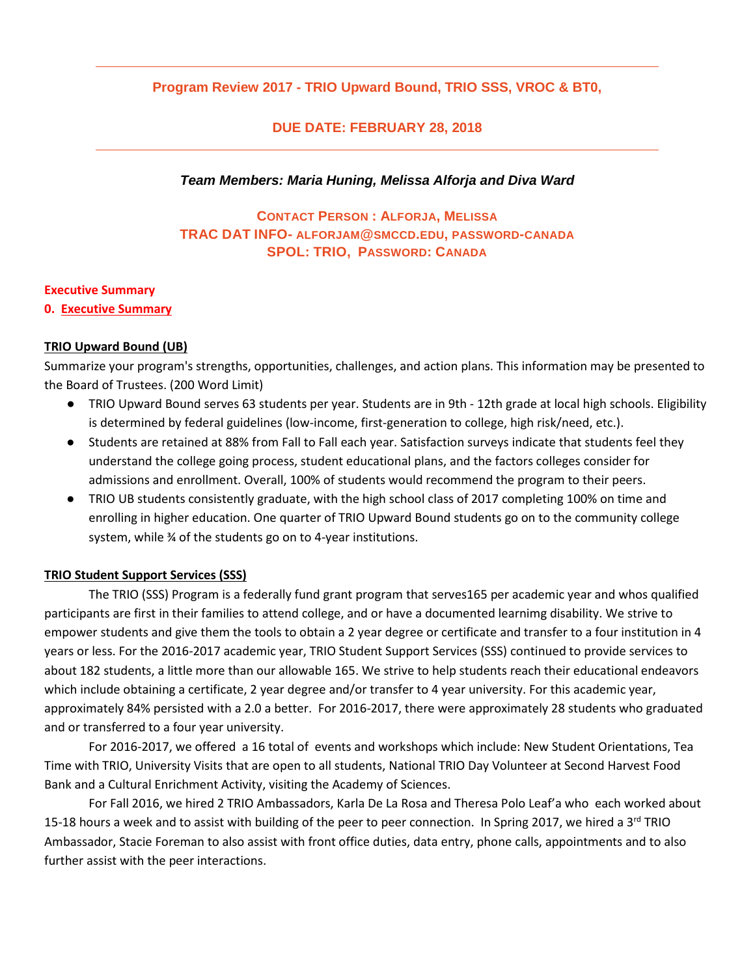### **Program Review 2017 - TRIO Upward Bound, TRIO SSS, VROC & BT0,**

#### **DUE DATE: FEBRUARY 28, 2018**

#### *Team Members: Maria Huning, Melissa Alforja and Diva Ward*

# **CONTACT PERSON : ALFORJA, MELISSA TRAC DAT INFO- [ALFORJAM@SMCCD.EDU,](mailto:alforjam@smccd.edu) PASSWORD-CANADA SPOL: TRIO, PASSWORD: CANADA**

#### **Executive Summary**

#### **0. Executive Summary**

#### **TRIO Upward Bound (UB)**

Summarize your program's strengths, opportunities, challenges, and action plans. This information may be presented to the Board of Trustees. (200 Word Limit)

- TRIO Upward Bound serves 63 students per year. Students are in 9th 12th grade at local high schools. Eligibility is determined by federal guidelines (low-income, first-generation to college, high risk/need, etc.).
- Students are retained at 88% from Fall to Fall each year. Satisfaction surveys indicate that students feel they understand the college going process, student educational plans, and the factors colleges consider for admissions and enrollment. Overall, 100% of students would recommend the program to their peers.
- TRIO UB students consistently graduate, with the high school class of 2017 completing 100% on time and enrolling in higher education. One quarter of TRIO Upward Bound students go on to the community college system, while % of the students go on to 4-year institutions.

#### **TRIO Student Support Services (SSS)**

The TRIO (SSS) Program is a federally fund grant program that serves165 per academic year and whos qualified participants are first in their families to attend college, and or have a documented learnimg disability. We strive to empower students and give them the tools to obtain a 2 year degree or certificate and transfer to a four institution in 4 years or less. For the 2016-2017 academic year, TRIO Student Support Services (SSS) continued to provide services to about 182 students, a little more than our allowable 165. We strive to help students reach their educational endeavors which include obtaining a certificate, 2 year degree and/or transfer to 4 year university. For this academic year, approximately 84% persisted with a 2.0 a better. For 2016-2017, there were approximately 28 students who graduated and or transferred to a four year university.

For 2016-2017, we offered a 16 total of events and workshops which include: New Student Orientations, Tea Time with TRIO, University Visits that are open to all students, National TRIO Day Volunteer at Second Harvest Food Bank and a Cultural Enrichment Activity, visiting the Academy of Sciences.

For Fall 2016, we hired 2 TRIO Ambassadors, Karla De La Rosa and Theresa Polo Leaf'a who each worked about 15-18 hours a week and to assist with building of the peer to peer connection. In Spring 2017, we hired a 3<sup>rd</sup> TRIO Ambassador, Stacie Foreman to also assist with front office duties, data entry, phone calls, appointments and to also further assist with the peer interactions.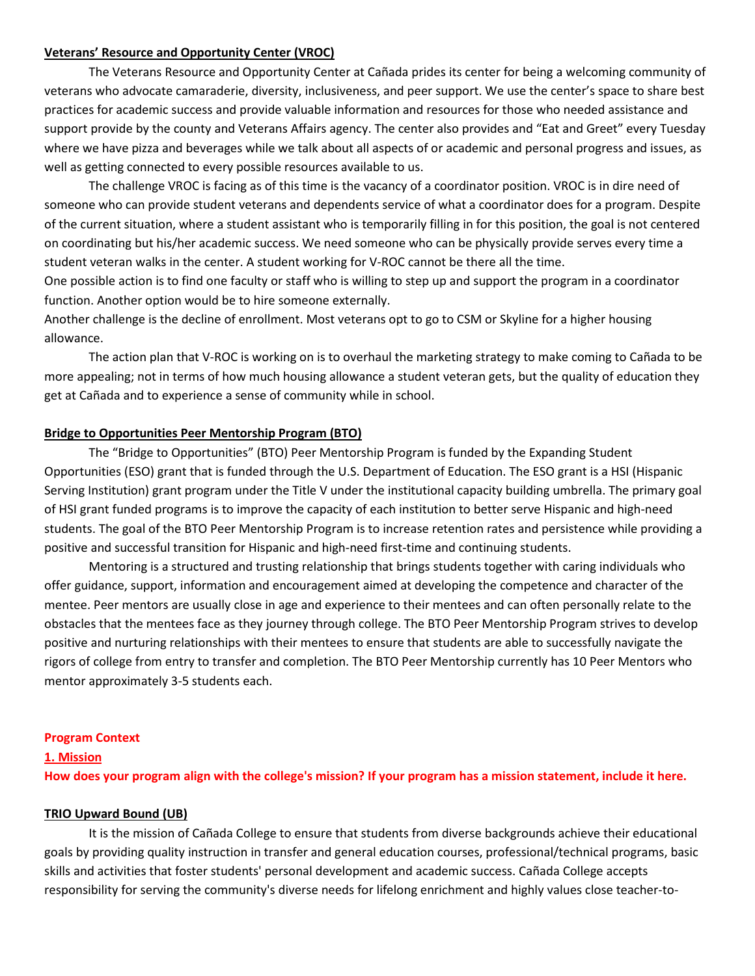#### **Veterans' Resource and Opportunity Center (VROC)**

The Veterans Resource and Opportunity Center at Cañada prides its center for being a welcoming community of veterans who advocate camaraderie, diversity, inclusiveness, and peer support. We use the center's space to share best practices for academic success and provide valuable information and resources for those who needed assistance and support provide by the county and Veterans Affairs agency. The center also provides and "Eat and Greet" every Tuesday where we have pizza and beverages while we talk about all aspects of or academic and personal progress and issues, as well as getting connected to every possible resources available to us.

The challenge VROC is facing as of this time is the vacancy of a coordinator position. VROC is in dire need of someone who can provide student veterans and dependents service of what a coordinator does for a program. Despite of the current situation, where a student assistant who is temporarily filling in for this position, the goal is not centered on coordinating but his/her academic success. We need someone who can be physically provide serves every time a student veteran walks in the center. A student working for V-ROC cannot be there all the time.

One possible action is to find one faculty or staff who is willing to step up and support the program in a coordinator function. Another option would be to hire someone externally.

Another challenge is the decline of enrollment. Most veterans opt to go to CSM or Skyline for a higher housing allowance.

The action plan that V-ROC is working on is to overhaul the marketing strategy to make coming to Cañada to be more appealing; not in terms of how much housing allowance a student veteran gets, but the quality of education they get at Cañada and to experience a sense of community while in school.

#### **Bridge to Opportunities Peer Mentorship Program (BTO)**

The "Bridge to Opportunities" (BTO) Peer Mentorship Program is funded by the Expanding Student Opportunities (ESO) grant that is funded through the U.S. Department of Education. The ESO grant is a HSI (Hispanic Serving Institution) grant program under the Title V under the institutional capacity building umbrella. The primary goal of HSI grant funded programs is to improve the capacity of each institution to better serve Hispanic and high-need students. The goal of the BTO Peer Mentorship Program is to increase retention rates and persistence while providing a positive and successful transition for Hispanic and high-need first-time and continuing students.

Mentoring is a structured and trusting relationship that brings students together with caring individuals who offer guidance, support, information and encouragement aimed at developing the competence and character of the mentee. Peer mentors are usually close in age and experience to their mentees and can often personally relate to the obstacles that the mentees face as they journey through college. The BTO Peer Mentorship Program strives to develop positive and nurturing relationships with their mentees to ensure that students are able to successfully navigate the rigors of college from entry to transfer and completion. The BTO Peer Mentorship currently has 10 Peer Mentors who mentor approximately 3-5 students each.

#### **Program Context**

#### **1. Mission**

**How does your program align with the college's mission? If your program has a mission statement, include it here.**

#### **TRIO Upward Bound (UB)**

It is the mission of Cañada College to ensure that students from diverse backgrounds achieve their educational goals by providing quality instruction in transfer and general education courses, professional/technical programs, basic skills and activities that foster students' personal development and academic success. Cañada College accepts responsibility for serving the community's diverse needs for lifelong enrichment and highly values close teacher-to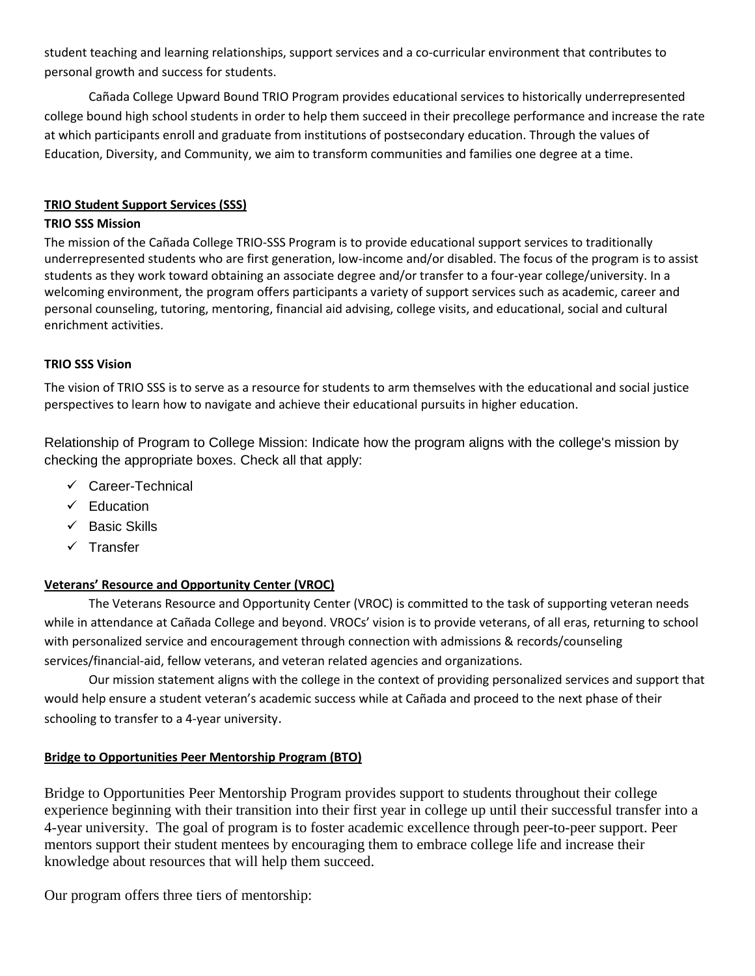student teaching and learning relationships, support services and a co-curricular environment that contributes to personal growth and success for students.

Cañada College Upward Bound TRIO Program provides educational services to historically underrepresented college bound high school students in order to help them succeed in their precollege performance and increase the rate at which participants enroll and graduate from institutions of postsecondary education. Through the values of Education, Diversity, and Community, we aim to transform communities and families one degree at a time.

### **TRIO Student Support Services (SSS)**

### **TRIO SSS Mission**

The mission of the Cañada College TRIO-SSS Program is to provide educational support services to traditionally underrepresented students who are first generation, low-income and/or disabled. The focus of the program is to assist students as they work toward obtaining an associate degree and/or transfer to a four-year college/university. In a welcoming environment, the program offers participants a variety of support services such as academic, career and personal counseling, tutoring, mentoring, financial aid advising, college visits, and educational, social and cultural enrichment activities.

### **TRIO SSS Vision**

The vision of TRIO SSS is to serve as a resource for students to arm themselves with the educational and social justice perspectives to learn how to navigate and achieve their educational pursuits in higher education.

Relationship of Program to College Mission: Indicate how the program aligns with the college's mission by checking the appropriate boxes. Check all that apply:

- $\checkmark$  Career-Technical
- $\checkmark$  Education
- $\checkmark$  Basic Skills
- $\checkmark$  Transfer

# **Veterans' Resource and Opportunity Center (VROC)**

The Veterans Resource and Opportunity Center (VROC) is committed to the task of supporting veteran needs while in attendance at Cañada College and beyond. VROCs' vision is to provide veterans, of all eras, returning to school with personalized service and encouragement through connection with admissions & records/counseling services/financial-aid, fellow veterans, and veteran related agencies and organizations.

Our mission statement aligns with the college in the context of providing personalized services and support that would help ensure a student veteran's academic success while at Cañada and proceed to the next phase of their schooling to transfer to a 4-year university.

# **Bridge to Opportunities Peer Mentorship Program (BTO)**

Bridge to Opportunities Peer Mentorship Program provides support to students throughout their college experience beginning with their transition into their first year in college up until their successful transfer into a 4-year university. The goal of program is to foster academic excellence through peer-to-peer support. Peer mentors support their student mentees by encouraging them to embrace college life and increase their knowledge about resources that will help them succeed.

Our program offers three tiers of mentorship: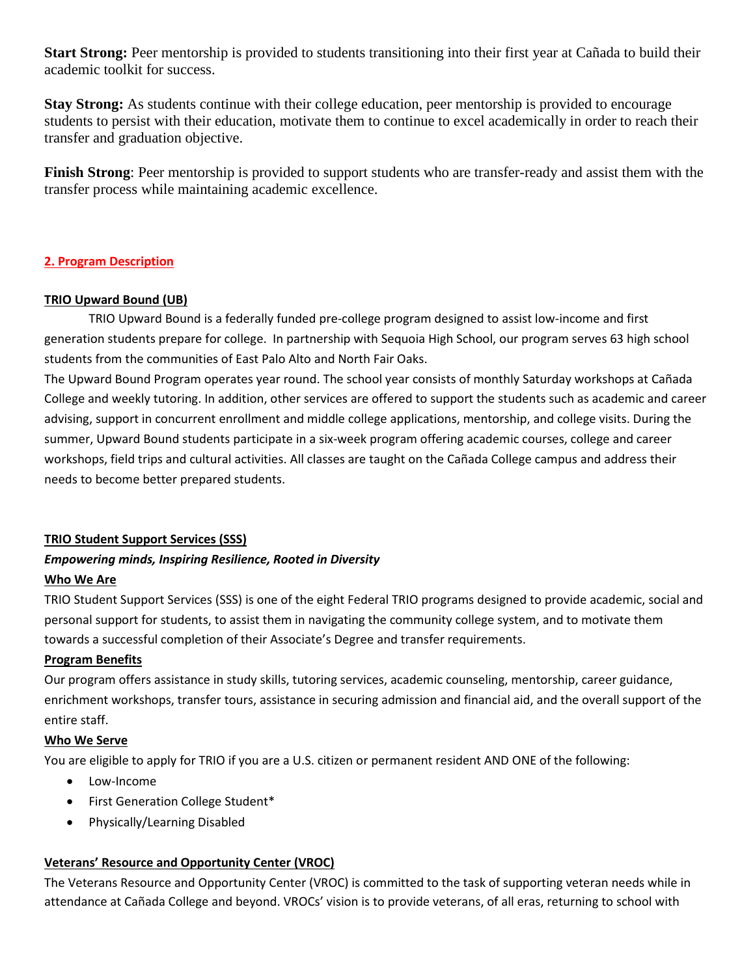**Start Strong:** Peer mentorship is provided to students transitioning into their first year at Cañada to build their academic toolkit for success.

**Stay Strong:** As students continue with their college education, peer mentorship is provided to encourage students to persist with their education, motivate them to continue to excel academically in order to reach their transfer and graduation objective.

**Finish Strong**: Peer mentorship is provided to support students who are transfer-ready and assist them with the transfer process while maintaining academic excellence.

### **2. Program Description**

#### **TRIO Upward Bound (UB)**

TRIO Upward Bound is a federally funded pre-college program designed to assist low-income and first generation students prepare for college. In partnership with Sequoia High School, our program serves 63 high school students from the communities of East Palo Alto and North Fair Oaks.

The Upward Bound Program operates year round. The school year consists of monthly Saturday workshops at Cañada College and weekly tutoring. In addition, other services are offered to support the students such as academic and career advising, support in concurrent enrollment and middle college applications, mentorship, and college visits. During the summer, Upward Bound students participate in a six-week program offering academic courses, college and career workshops, field trips and cultural activities. All classes are taught on the Cañada College campus and address their needs to become better prepared students.

#### **TRIO Student Support Services (SSS)**

# *Empowering minds, Inspiring Resilience, Rooted in Diversity*

# **Who We Are**

TRIO Student Support Services (SSS) is one of the eight Federal TRIO programs designed to provide academic, social and personal support for students, to assist them in navigating the community college system, and to motivate them towards a successful completion of their Associate's Degree and transfer requirements.

#### **Program Benefits**

Our program offers assistance in study skills, tutoring services, academic counseling, mentorship, career guidance, enrichment workshops, transfer tours, assistance in securing admission and financial aid, and the overall support of the entire staff.

#### **Who We Serve**

You are eligible to apply for TRIO if you are a U.S. citizen or permanent resident AND ONE of the following:

- Low-Income
- First Generation College Student\*
- Physically/Learning Disabled

# **Veterans' Resource and Opportunity Center (VROC)**

The Veterans Resource and Opportunity Center (VROC) is committed to the task of supporting veteran needs while in attendance at Cañada College and beyond. VROCs' vision is to provide veterans, of all eras, returning to school with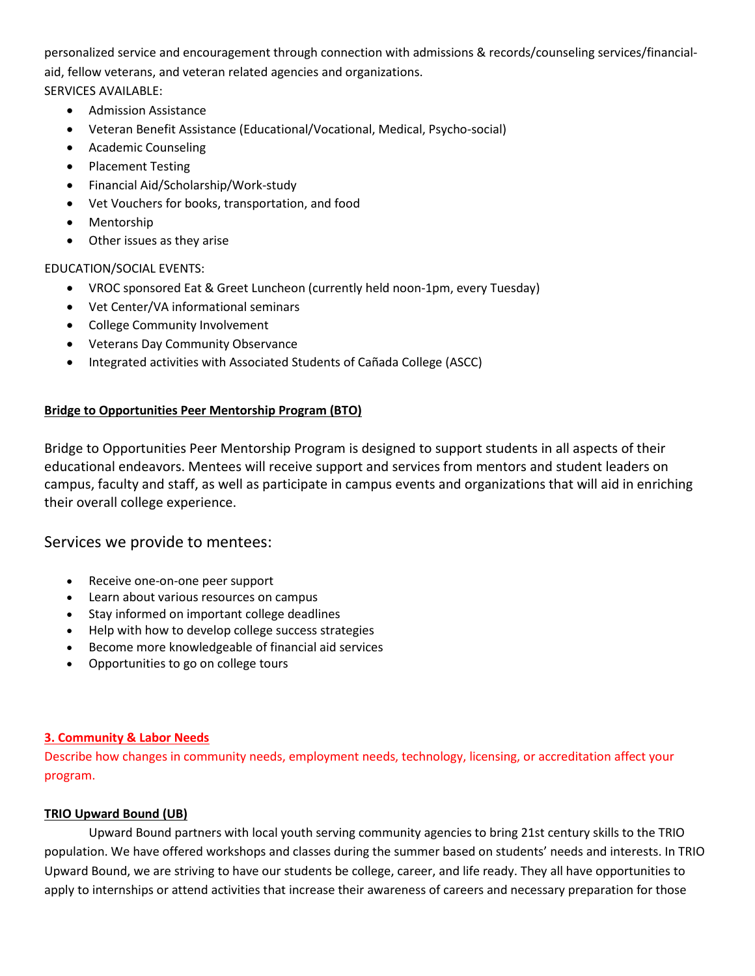personalized service and encouragement through connection with admissions & records/counseling services/financialaid, fellow veterans, and veteran related agencies and organizations. SERVICES AVAILABLE:

- Admission Assistance
- Veteran Benefit Assistance (Educational/Vocational, Medical, Psycho-social)
- Academic Counseling
- Placement Testing
- Financial Aid/Scholarship/Work-study
- Vet Vouchers for books, transportation, and food
- Mentorship
- Other issues as they arise

# EDUCATION/SOCIAL EVENTS:

- VROC sponsored Eat & Greet Luncheon (currently held noon-1pm, every Tuesday)
- Vet Center/VA informational seminars
- College Community Involvement
- Veterans Day Community Observance
- Integrated activities with Associated Students of Cañada College (ASCC)

# **Bridge to Opportunities Peer Mentorship Program (BTO)**

Bridge to Opportunities Peer Mentorship Program is designed to support students in all aspects of their educational endeavors. Mentees will receive support and services from mentors and student leaders on campus, faculty and staff, as well as participate in campus events and organizations that will aid in enriching their overall college experience.

# Services we provide to mentees:

- Receive one-on-one peer support
- Learn about various resources on campus
- Stay informed on important college deadlines
- Help with how to develop college success strategies
- Become more knowledgeable of financial aid services
- Opportunities to go on college tours

# **3. Community & Labor Needs**

Describe how changes in community needs, employment needs, technology, licensing, or accreditation affect your program.

# **TRIO Upward Bound (UB)**

Upward Bound partners with local youth serving community agencies to bring 21st century skills to the TRIO population. We have offered workshops and classes during the summer based on students' needs and interests. In TRIO Upward Bound, we are striving to have our students be college, career, and life ready. They all have opportunities to apply to internships or attend activities that increase their awareness of careers and necessary preparation for those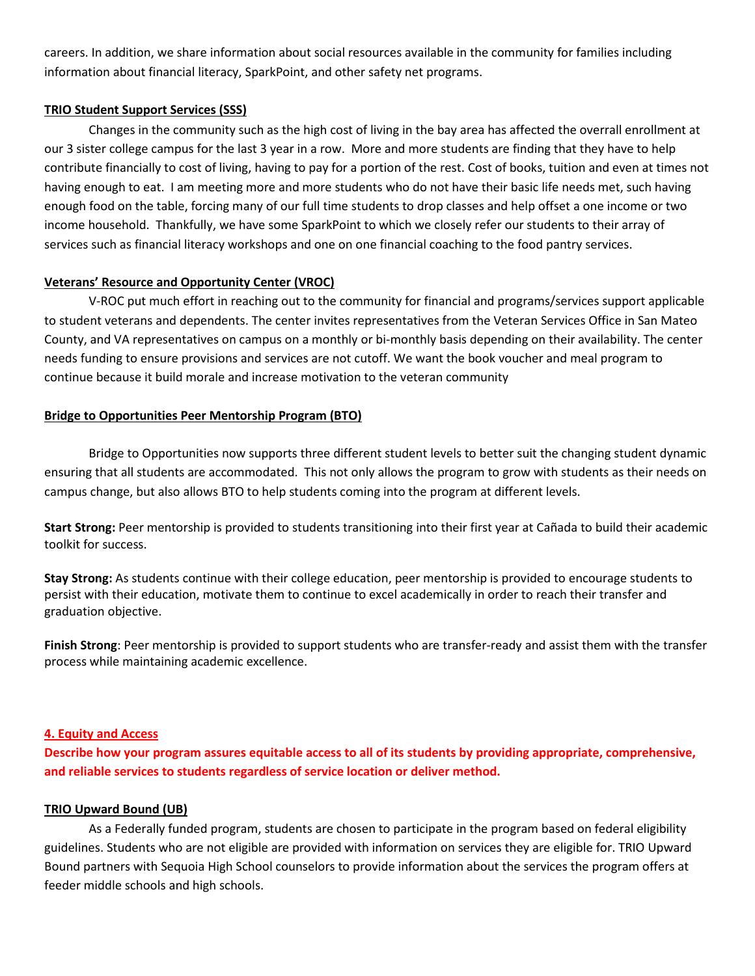careers. In addition, we share information about social resources available in the community for families including information about financial literacy, SparkPoint, and other safety net programs.

#### **TRIO Student Support Services (SSS)**

Changes in the community such as the high cost of living in the bay area has affected the overrall enrollment at our 3 sister college campus for the last 3 year in a row. More and more students are finding that they have to help contribute financially to cost of living, having to pay for a portion of the rest. Cost of books, tuition and even at times not having enough to eat. I am meeting more and more students who do not have their basic life needs met, such having enough food on the table, forcing many of our full time students to drop classes and help offset a one income or two income household. Thankfully, we have some SparkPoint to which we closely refer our students to their array of services such as financial literacy workshops and one on one financial coaching to the food pantry services.

# **Veterans' Resource and Opportunity Center (VROC)**

V-ROC put much effort in reaching out to the community for financial and programs/services support applicable to student veterans and dependents. The center invites representatives from the Veteran Services Office in San Mateo County, and VA representatives on campus on a monthly or bi-monthly basis depending on their availability. The center needs funding to ensure provisions and services are not cutoff. We want the book voucher and meal program to continue because it build morale and increase motivation to the veteran community

# **Bridge to Opportunities Peer Mentorship Program (BTO)**

Bridge to Opportunities now supports three different student levels to better suit the changing student dynamic ensuring that all students are accommodated. This not only allows the program to grow with students as their needs on campus change, but also allows BTO to help students coming into the program at different levels.

**Start Strong:** Peer mentorship is provided to students transitioning into their first year at Cañada to build their academic toolkit for success.

**Stay Strong:** As students continue with their college education, peer mentorship is provided to encourage students to persist with their education, motivate them to continue to excel academically in order to reach their transfer and graduation objective.

**Finish Strong**: Peer mentorship is provided to support students who are transfer-ready and assist them with the transfer process while maintaining academic excellence.

# **4. Equity and Access**

**Describe how your program assures equitable access to all of its students by providing appropriate, comprehensive, and reliable services to students regardless of service location or deliver method.**

# **TRIO Upward Bound (UB)**

As a Federally funded program, students are chosen to participate in the program based on federal eligibility guidelines. Students who are not eligible are provided with information on services they are eligible for. TRIO Upward Bound partners with Sequoia High School counselors to provide information about the services the program offers at feeder middle schools and high schools.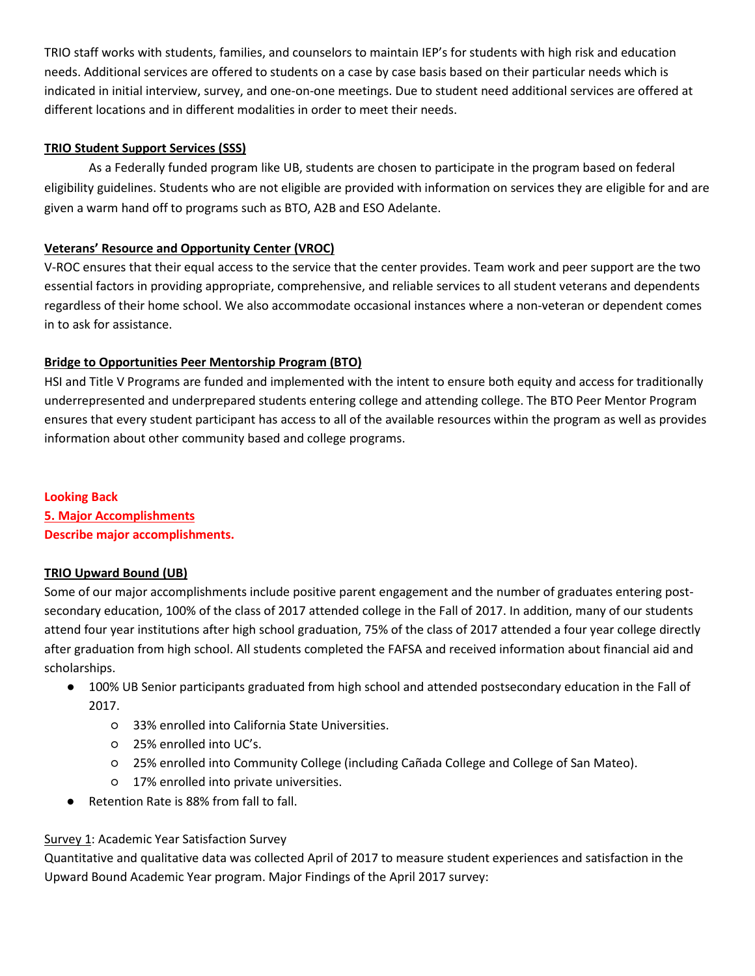TRIO staff works with students, families, and counselors to maintain IEP's for students with high risk and education needs. Additional services are offered to students on a case by case basis based on their particular needs which is indicated in initial interview, survey, and one-on-one meetings. Due to student need additional services are offered at different locations and in different modalities in order to meet their needs.

# **TRIO Student Support Services (SSS)**

As a Federally funded program like UB, students are chosen to participate in the program based on federal eligibility guidelines. Students who are not eligible are provided with information on services they are eligible for and are given a warm hand off to programs such as BTO, A2B and ESO Adelante.

# **Veterans' Resource and Opportunity Center (VROC)**

V-ROC ensures that their equal access to the service that the center provides. Team work and peer support are the two essential factors in providing appropriate, comprehensive, and reliable services to all student veterans and dependents regardless of their home school. We also accommodate occasional instances where a non-veteran or dependent comes in to ask for assistance.

# **Bridge to Opportunities Peer Mentorship Program (BTO)**

HSI and Title V Programs are funded and implemented with the intent to ensure both equity and access for traditionally underrepresented and underprepared students entering college and attending college. The BTO Peer Mentor Program ensures that every student participant has access to all of the available resources within the program as well as provides information about other community based and college programs.

#### **Looking Back**

**5. Major Accomplishments Describe major accomplishments.**

# **TRIO Upward Bound (UB)**

Some of our major accomplishments include positive parent engagement and the number of graduates entering postsecondary education, 100% of the class of 2017 attended college in the Fall of 2017. In addition, many of our students attend four year institutions after high school graduation, 75% of the class of 2017 attended a four year college directly after graduation from high school. All students completed the FAFSA and received information about financial aid and scholarships.

- 100% UB Senior participants graduated from high school and attended postsecondary education in the Fall of 2017.
	- 33% enrolled into California State Universities.
	- 25% enrolled into UC's.
	- 25% enrolled into Community College (including Cañada College and College of San Mateo).
	- 17% enrolled into private universities.
- Retention Rate is 88% from fall to fall.

# Survey 1: Academic Year Satisfaction Survey

Quantitative and qualitative data was collected April of 2017 to measure student experiences and satisfaction in the Upward Bound Academic Year program. Major Findings of the April 2017 survey: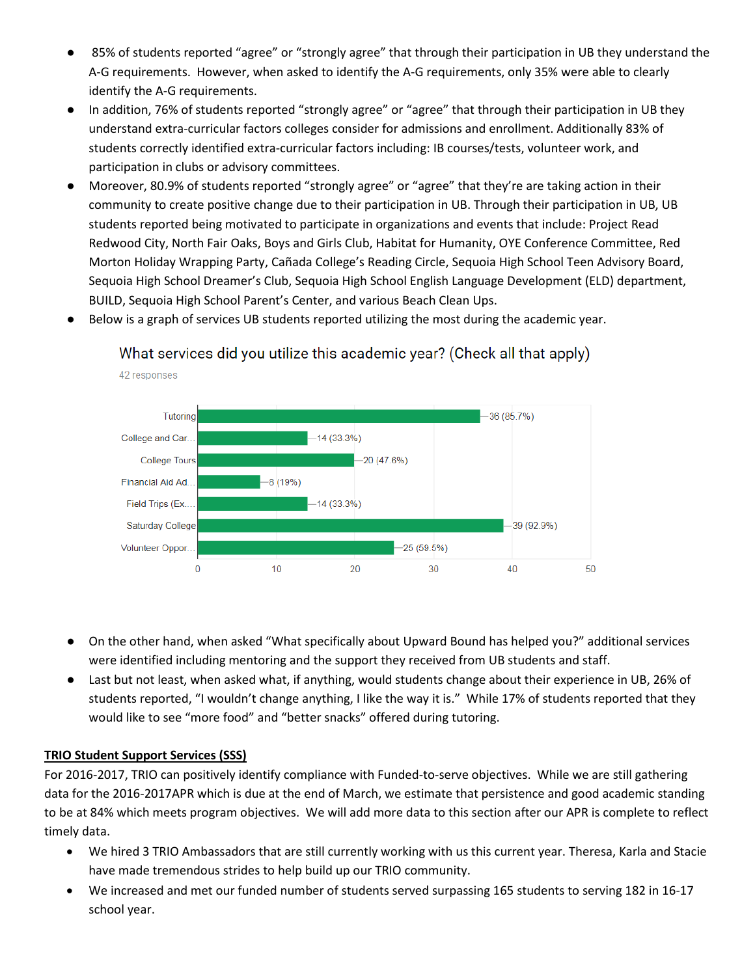- 85% of students reported "agree" or "strongly agree" that through their participation in UB they understand the A-G requirements. However, when asked to identify the A-G requirements, only 35% were able to clearly identify the A-G requirements.
- In addition, 76% of students reported "strongly agree" or "agree" that through their participation in UB they understand extra-curricular factors colleges consider for admissions and enrollment. Additionally 83% of students correctly identified extra-curricular factors including: IB courses/tests, volunteer work, and participation in clubs or advisory committees.
- Moreover, 80.9% of students reported "strongly agree" or "agree" that they're are taking action in their community to create positive change due to their participation in UB. Through their participation in UB, UB students reported being motivated to participate in organizations and events that include: Project Read Redwood City, North Fair Oaks, Boys and Girls Club, Habitat for Humanity, OYE Conference Committee, Red Morton Holiday Wrapping Party, Cañada College's Reading Circle, Sequoia High School Teen Advisory Board, Sequoia High School Dreamer's Club, Sequoia High School English Language Development (ELD) department, BUILD, Sequoia High School Parent's Center, and various Beach Clean Ups.



- Below is a graph of services UB students reported utilizing the most during the academic year.
	- What services did you utilize this academic year? (Check all that apply)

- On the other hand, when asked "What specifically about Upward Bound has helped you?" additional services were identified including mentoring and the support they received from UB students and staff.
- Last but not least, when asked what, if anything, would students change about their experience in UB, 26% of students reported, "I wouldn't change anything, I like the way it is." While 17% of students reported that they would like to see "more food" and "better snacks" offered during tutoring.

# **TRIO Student Support Services (SSS)**

42 responses

For 2016-2017, TRIO can positively identify compliance with Funded-to-serve objectives. While we are still gathering data for the 2016-2017APR which is due at the end of March, we estimate that persistence and good academic standing to be at 84% which meets program objectives. We will add more data to this section after our APR is complete to reflect timely data.

- We hired 3 TRIO Ambassadors that are still currently working with us this current year. Theresa, Karla and Stacie have made tremendous strides to help build up our TRIO community.
- We increased and met our funded number of students served surpassing 165 students to serving 182 in 16-17 school year.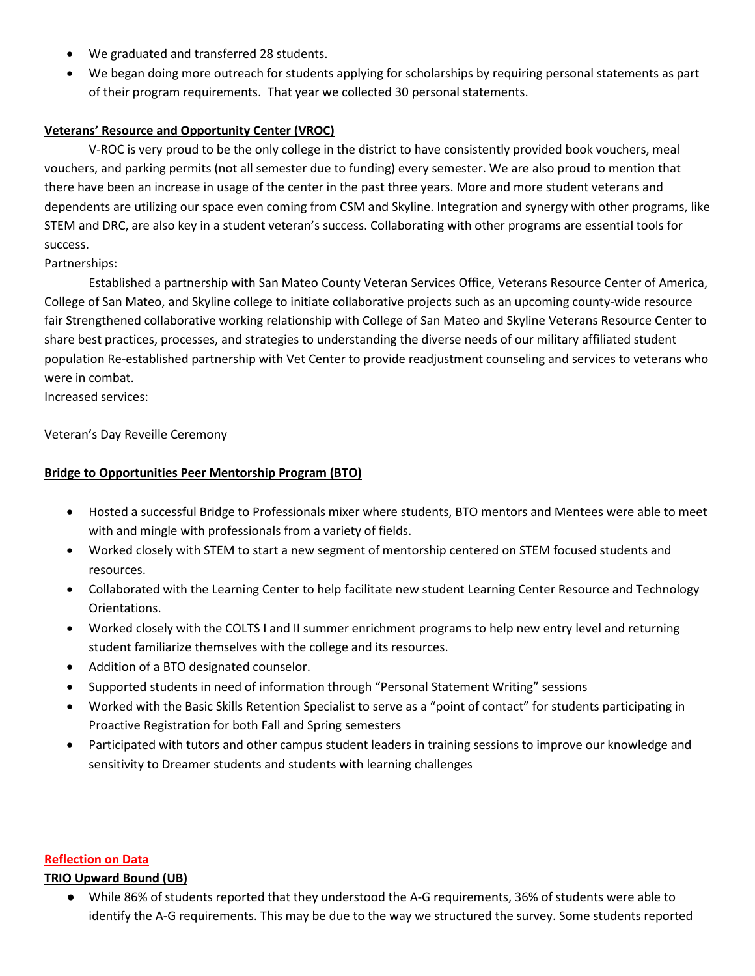- We graduated and transferred 28 students.
- We began doing more outreach for students applying for scholarships by requiring personal statements as part of their program requirements. That year we collected 30 personal statements.

### **Veterans' Resource and Opportunity Center (VROC)**

V-ROC is very proud to be the only college in the district to have consistently provided book vouchers, meal vouchers, and parking permits (not all semester due to funding) every semester. We are also proud to mention that there have been an increase in usage of the center in the past three years. More and more student veterans and dependents are utilizing our space even coming from CSM and Skyline. Integration and synergy with other programs, like STEM and DRC, are also key in a student veteran's success. Collaborating with other programs are essential tools for success.

Partnerships:

Established a partnership with San Mateo County Veteran Services Office, Veterans Resource Center of America, College of San Mateo, and Skyline college to initiate collaborative projects such as an upcoming county-wide resource fair Strengthened collaborative working relationship with College of San Mateo and Skyline Veterans Resource Center to share best practices, processes, and strategies to understanding the diverse needs of our military affiliated student population Re-established partnership with Vet Center to provide readjustment counseling and services to veterans who were in combat.

Increased services:

Veteran's Day Reveille Ceremony

#### **Bridge to Opportunities Peer Mentorship Program (BTO)**

- Hosted a successful Bridge to Professionals mixer where students, BTO mentors and Mentees were able to meet with and mingle with professionals from a variety of fields.
- Worked closely with STEM to start a new segment of mentorship centered on STEM focused students and resources.
- Collaborated with the Learning Center to help facilitate new student Learning Center Resource and Technology Orientations.
- Worked closely with the COLTS I and II summer enrichment programs to help new entry level and returning student familiarize themselves with the college and its resources.
- Addition of a BTO designated counselor.
- Supported students in need of information through "Personal Statement Writing" sessions
- Worked with the Basic Skills Retention Specialist to serve as a "point of contact" for students participating in Proactive Registration for both Fall and Spring semesters
- Participated with tutors and other campus student leaders in training sessions to improve our knowledge and sensitivity to Dreamer students and students with learning challenges

#### **Reflection on Data**

#### **TRIO Upward Bound (UB)**

While 86% of students reported that they understood the A-G requirements, 36% of students were able to identify the A-G requirements. This may be due to the way we structured the survey. Some students reported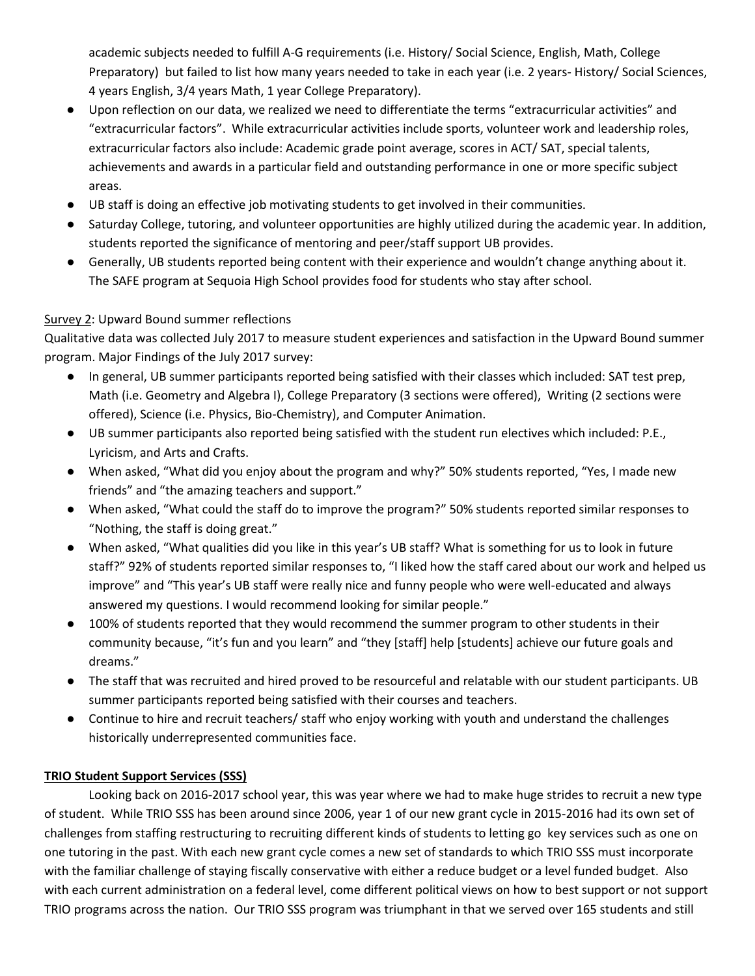academic subjects needed to fulfill A-G requirements (i.e. History/ Social Science, English, Math, College Preparatory) but failed to list how many years needed to take in each year (i.e. 2 years- History/ Social Sciences, 4 years English, 3/4 years Math, 1 year College Preparatory).

- Upon reflection on our data, we realized we need to differentiate the terms "extracurricular activities" and "extracurricular factors". While extracurricular activities include sports, volunteer work and leadership roles, extracurricular factors also include: Academic grade point average, scores in ACT/ SAT, special talents, achievements and awards in a particular field and outstanding performance in one or more specific subject areas.
- UB staff is doing an effective job motivating students to get involved in their communities.
- Saturday College, tutoring, and volunteer opportunities are highly utilized during the academic year. In addition, students reported the significance of mentoring and peer/staff support UB provides.
- Generally, UB students reported being content with their experience and wouldn't change anything about it. The SAFE program at Sequoia High School provides food for students who stay after school.

# Survey 2: Upward Bound summer reflections

Qualitative data was collected July 2017 to measure student experiences and satisfaction in the Upward Bound summer program. Major Findings of the July 2017 survey:

- In general, UB summer participants reported being satisfied with their classes which included: SAT test prep, Math (i.e. Geometry and Algebra I), College Preparatory (3 sections were offered), Writing (2 sections were offered), Science (i.e. Physics, Bio-Chemistry), and Computer Animation.
- UB summer participants also reported being satisfied with the student run electives which included: P.E., Lyricism, and Arts and Crafts.
- When asked, "What did you enjoy about the program and why?" 50% students reported, "Yes, I made new friends" and "the amazing teachers and support."
- When asked, "What could the staff do to improve the program?" 50% students reported similar responses to "Nothing, the staff is doing great."
- When asked, "What qualities did you like in this year's UB staff? What is something for us to look in future staff?" 92% of students reported similar responses to, "I liked how the staff cared about our work and helped us improve" and "This year's UB staff were really nice and funny people who were well-educated and always answered my questions. I would recommend looking for similar people."
- 100% of students reported that they would recommend the summer program to other students in their community because, "it's fun and you learn" and "they [staff] help [students] achieve our future goals and dreams."
- The staff that was recruited and hired proved to be resourceful and relatable with our student participants. UB summer participants reported being satisfied with their courses and teachers.
- Continue to hire and recruit teachers/ staff who enjoy working with youth and understand the challenges historically underrepresented communities face.

# **TRIO Student Support Services (SSS)**

Looking back on 2016-2017 school year, this was year where we had to make huge strides to recruit a new type of student. While TRIO SSS has been around since 2006, year 1 of our new grant cycle in 2015-2016 had its own set of challenges from staffing restructuring to recruiting different kinds of students to letting go key services such as one on one tutoring in the past. With each new grant cycle comes a new set of standards to which TRIO SSS must incorporate with the familiar challenge of staying fiscally conservative with either a reduce budget or a level funded budget. Also with each current administration on a federal level, come different political views on how to best support or not support TRIO programs across the nation. Our TRIO SSS program was triumphant in that we served over 165 students and still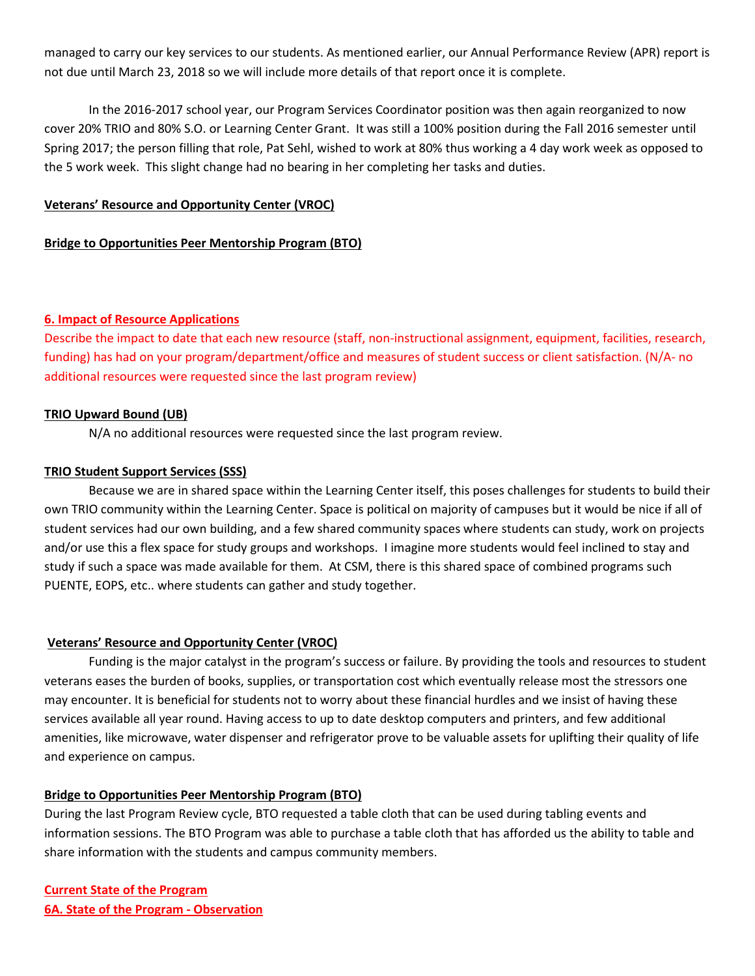managed to carry our key services to our students. As mentioned earlier, our Annual Performance Review (APR) report is not due until March 23, 2018 so we will include more details of that report once it is complete.

In the 2016-2017 school year, our Program Services Coordinator position was then again reorganized to now cover 20% TRIO and 80% S.O. or Learning Center Grant. It was still a 100% position during the Fall 2016 semester until Spring 2017; the person filling that role, Pat Sehl, wished to work at 80% thus working a 4 day work week as opposed to the 5 work week. This slight change had no bearing in her completing her tasks and duties.

#### **Veterans' Resource and Opportunity Center (VROC)**

#### **Bridge to Opportunities Peer Mentorship Program (BTO)**

#### **6. Impact of Resource Applications**

Describe the impact to date that each new resource (staff, non-instructional assignment, equipment, facilities, research, funding) has had on your program/department/office and measures of student success or client satisfaction. (N/A- no additional resources were requested since the last program review)

#### **TRIO Upward Bound (UB)**

N/A no additional resources were requested since the last program review.

#### **TRIO Student Support Services (SSS)**

Because we are in shared space within the Learning Center itself, this poses challenges for students to build their own TRIO community within the Learning Center. Space is political on majority of campuses but it would be nice if all of student services had our own building, and a few shared community spaces where students can study, work on projects and/or use this a flex space for study groups and workshops. I imagine more students would feel inclined to stay and study if such a space was made available for them. At CSM, there is this shared space of combined programs such PUENTE, EOPS, etc.. where students can gather and study together.

#### **Veterans' Resource and Opportunity Center (VROC)**

Funding is the major catalyst in the program's success or failure. By providing the tools and resources to student veterans eases the burden of books, supplies, or transportation cost which eventually release most the stressors one may encounter. It is beneficial for students not to worry about these financial hurdles and we insist of having these services available all year round. Having access to up to date desktop computers and printers, and few additional amenities, like microwave, water dispenser and refrigerator prove to be valuable assets for uplifting their quality of life and experience on campus.

#### **Bridge to Opportunities Peer Mentorship Program (BTO)**

During the last Program Review cycle, BTO requested a table cloth that can be used during tabling events and information sessions. The BTO Program was able to purchase a table cloth that has afforded us the ability to table and share information with the students and campus community members.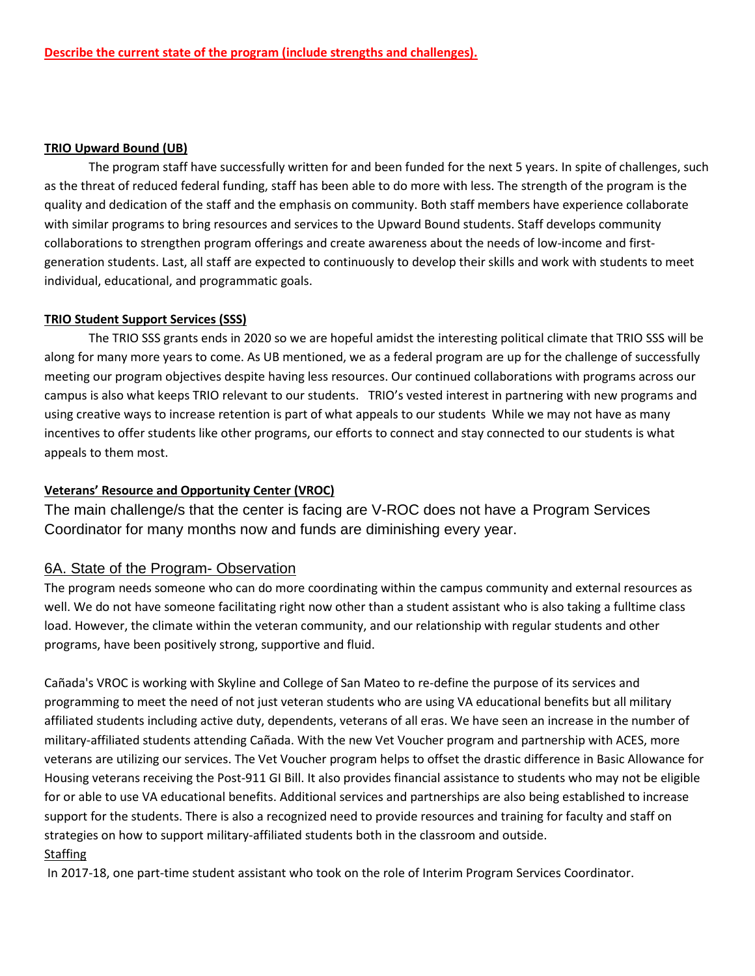#### **TRIO Upward Bound (UB)**

The program staff have successfully written for and been funded for the next 5 years. In spite of challenges, such as the threat of reduced federal funding, staff has been able to do more with less. The strength of the program is the quality and dedication of the staff and the emphasis on community. Both staff members have experience collaborate with similar programs to bring resources and services to the Upward Bound students. Staff develops community collaborations to strengthen program offerings and create awareness about the needs of low-income and firstgeneration students. Last, all staff are expected to continuously to develop their skills and work with students to meet individual, educational, and programmatic goals.

### **TRIO Student Support Services (SSS)**

The TRIO SSS grants ends in 2020 so we are hopeful amidst the interesting political climate that TRIO SSS will be along for many more years to come. As UB mentioned, we as a federal program are up for the challenge of successfully meeting our program objectives despite having less resources. Our continued collaborations with programs across our campus is also what keeps TRIO relevant to our students. TRIO's vested interest in partnering with new programs and using creative ways to increase retention is part of what appeals to our students While we may not have as many incentives to offer students like other programs, our efforts to connect and stay connected to our students is what appeals to them most.

### **Veterans' Resource and Opportunity Center (VROC)**

The main challenge/s that the center is facing are V-ROC does not have a Program Services Coordinator for many months now and funds are diminishing every year.

# 6A. State of the Program- Observation

The program needs someone who can do more coordinating within the campus community and external resources as well. We do not have someone facilitating right now other than a student assistant who is also taking a fulltime class load. However, the climate within the veteran community, and our relationship with regular students and other programs, have been positively strong, supportive and fluid.

Cañada's VROC is working with Skyline and College of San Mateo to re-define the purpose of its services and programming to meet the need of not just veteran students who are using VA educational benefits but all military affiliated students including active duty, dependents, veterans of all eras. We have seen an increase in the number of military-affiliated students attending Cañada. With the new Vet Voucher program and partnership with ACES, more veterans are utilizing our services. The Vet Voucher program helps to offset the drastic difference in Basic Allowance for Housing veterans receiving the Post-911 GI Bill. It also provides financial assistance to students who may not be eligible for or able to use VA educational benefits. Additional services and partnerships are also being established to increase support for the students. There is also a recognized need to provide resources and training for faculty and staff on strategies on how to support military-affiliated students both in the classroom and outside. **Staffing** 

In 2017-18, one part-time student assistant who took on the role of Interim Program Services Coordinator.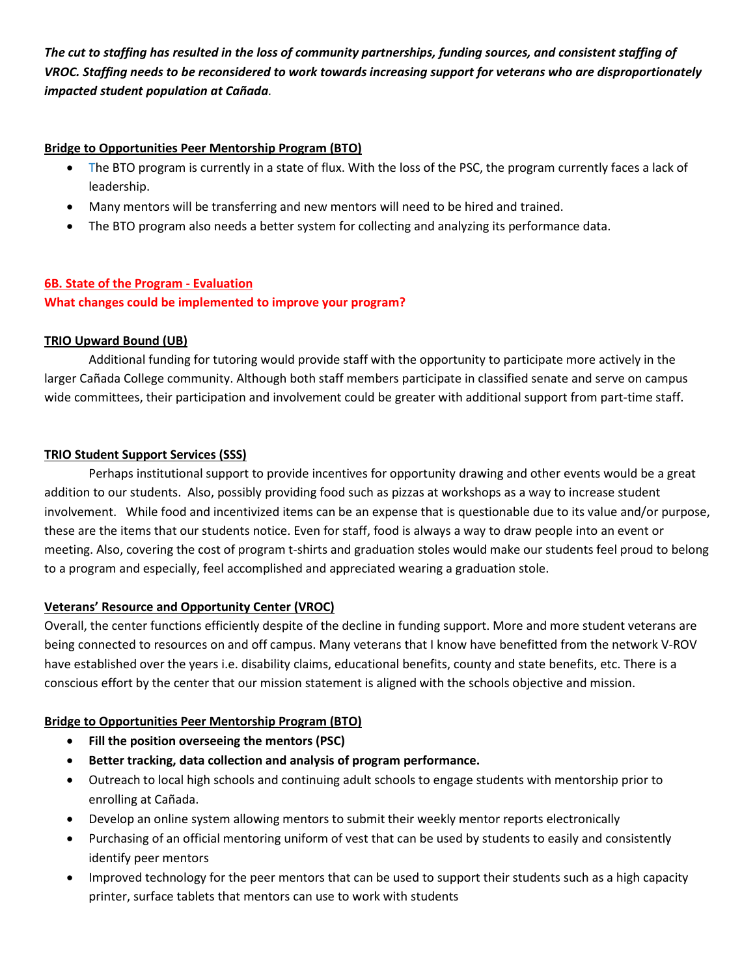*The cut to staffing has resulted in the loss of community partnerships, funding sources, and consistent staffing of VROC. Staffing needs to be reconsidered to work towards increasing support for veterans who are disproportionately impacted student population at Cañada.*

### **Bridge to Opportunities Peer Mentorship Program (BTO)**

- The BTO program is currently in a state of flux. With the loss of the PSC, the program currently faces a lack of leadership.
- Many mentors will be transferring and new mentors will need to be hired and trained.
- The BTO program also needs a better system for collecting and analyzing its performance data.

# **6B. State of the Program - Evaluation**

**What changes could be implemented to improve your program?** 

### **TRIO Upward Bound (UB)**

Additional funding for tutoring would provide staff with the opportunity to participate more actively in the larger Cañada College community. Although both staff members participate in classified senate and serve on campus wide committees, their participation and involvement could be greater with additional support from part-time staff.

### **TRIO Student Support Services (SSS)**

Perhaps institutional support to provide incentives for opportunity drawing and other events would be a great addition to our students. Also, possibly providing food such as pizzas at workshops as a way to increase student involvement. While food and incentivized items can be an expense that is questionable due to its value and/or purpose, these are the items that our students notice. Even for staff, food is always a way to draw people into an event or meeting. Also, covering the cost of program t-shirts and graduation stoles would make our students feel proud to belong to a program and especially, feel accomplished and appreciated wearing a graduation stole.

# **Veterans' Resource and Opportunity Center (VROC)**

Overall, the center functions efficiently despite of the decline in funding support. More and more student veterans are being connected to resources on and off campus. Many veterans that I know have benefitted from the network V-ROV have established over the years i.e. disability claims, educational benefits, county and state benefits, etc. There is a conscious effort by the center that our mission statement is aligned with the schools objective and mission.

# **Bridge to Opportunities Peer Mentorship Program (BTO)**

- **Fill the position overseeing the mentors (PSC)**
- **Better tracking, data collection and analysis of program performance.**
- Outreach to local high schools and continuing adult schools to engage students with mentorship prior to enrolling at Cañada.
- Develop an online system allowing mentors to submit their weekly mentor reports electronically
- Purchasing of an official mentoring uniform of vest that can be used by students to easily and consistently identify peer mentors
- Improved technology for the peer mentors that can be used to support their students such as a high capacity printer, surface tablets that mentors can use to work with students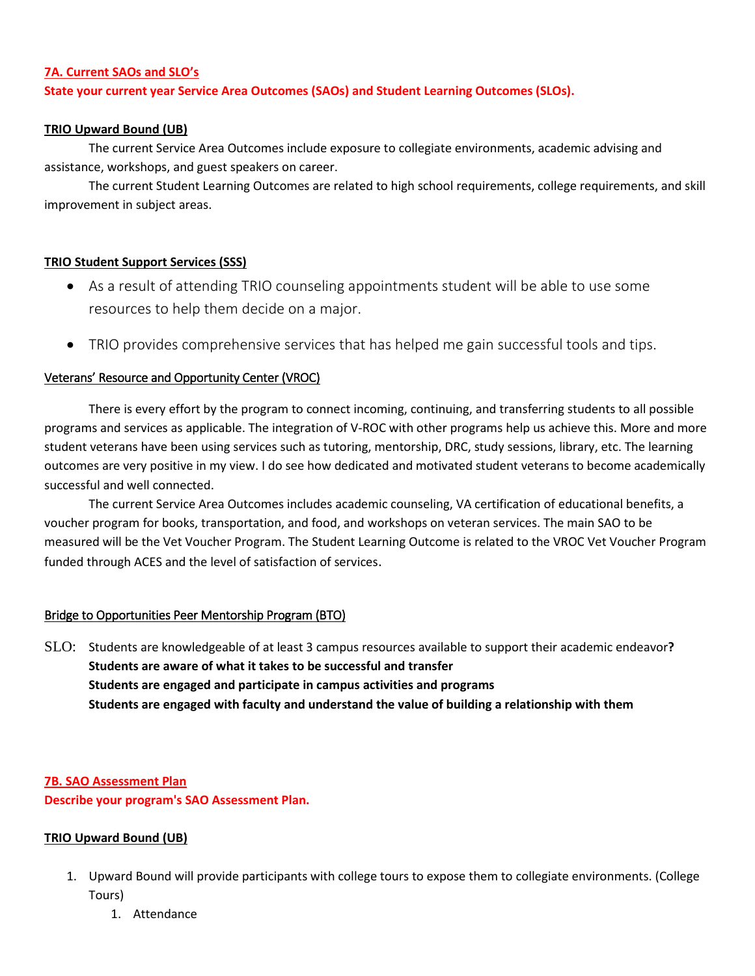#### **7A. Current SAOs and SLO's**

### **State your current year Service Area Outcomes (SAOs) and Student Learning Outcomes (SLOs).**

#### **TRIO Upward Bound (UB)**

The current Service Area Outcomes include exposure to collegiate environments, academic advising and assistance, workshops, and guest speakers on career.

The current Student Learning Outcomes are related to high school requirements, college requirements, and skill improvement in subject areas.

#### **TRIO Student Support Services (SSS)**

- As a result of attending TRIO counseling appointments student will be able to use some resources to help them decide on a major.
- TRIO provides comprehensive services that has helped me gain successful tools and tips.

#### Veterans' Resource and Opportunity Center (VROC)

There is every effort by the program to connect incoming, continuing, and transferring students to all possible programs and services as applicable. The integration of V-ROC with other programs help us achieve this. More and more student veterans have been using services such as tutoring, mentorship, DRC, study sessions, library, etc. The learning outcomes are very positive in my view. I do see how dedicated and motivated student veterans to become academically successful and well connected.

The current Service Area Outcomes includes academic counseling, VA certification of educational benefits, a voucher program for books, transportation, and food, and workshops on veteran services. The main SAO to be measured will be the Vet Voucher Program. The Student Learning Outcome is related to the VROC Vet Voucher Program funded through ACES and the level of satisfaction of services.

#### Bridge to Opportunities Peer Mentorship Program (BTO)

SLO: Students are knowledgeable of at least 3 campus resources available to support their academic endeavor**? Students are aware of what it takes to be successful and transfer Students are engaged and participate in campus activities and programs Students are engaged with faculty and understand the value of building a relationship with them**

**7B. SAO Assessment Plan Describe your program's SAO Assessment Plan.**

#### **TRIO Upward Bound (UB)**

- 1. Upward Bound will provide participants with college tours to expose them to collegiate environments. (College Tours)
	- 1. Attendance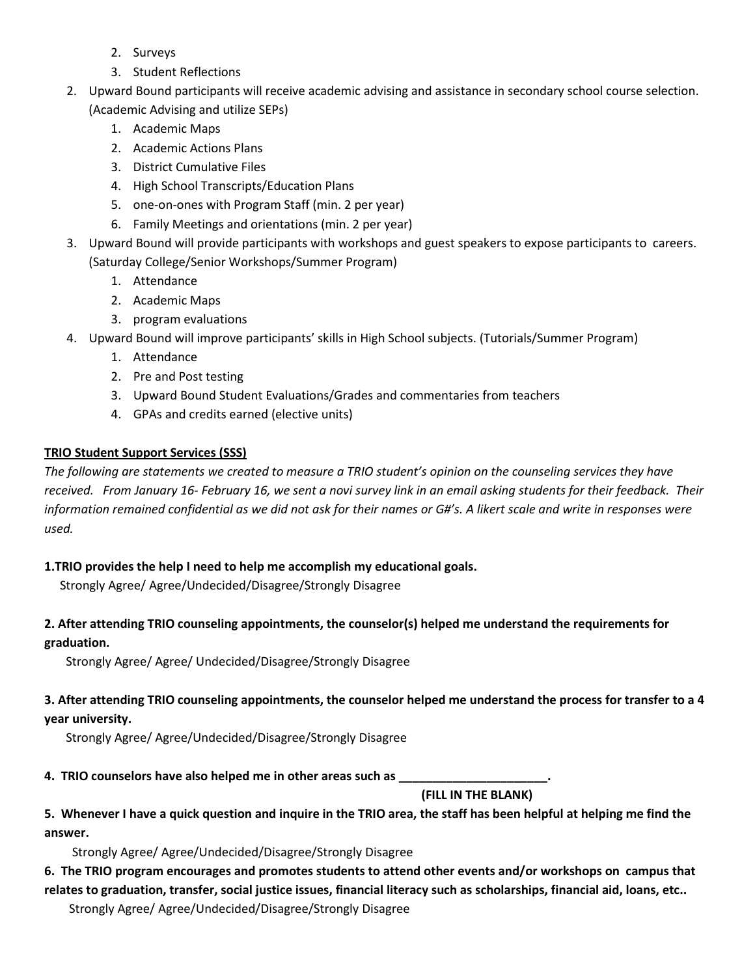- 2. Surveys
- 3. Student Reflections
- 2. Upward Bound participants will receive academic advising and assistance in secondary school course selection. (Academic Advising and utilize SEPs)
	- 1. Academic Maps
	- 2. Academic Actions Plans
	- 3. District Cumulative Files
	- 4. High School Transcripts/Education Plans
	- 5. one-on-ones with Program Staff (min. 2 per year)
	- 6. Family Meetings and orientations (min. 2 per year)
- 3. Upward Bound will provide participants with workshops and guest speakers to expose participants to careers. (Saturday College/Senior Workshops/Summer Program)
	- 1. Attendance
	- 2. Academic Maps
	- 3. program evaluations
- 4. Upward Bound will improve participants' skills in High School subjects. (Tutorials/Summer Program)
	- 1. Attendance
	- 2. Pre and Post testing
	- 3. Upward Bound Student Evaluations/Grades and commentaries from teachers
	- 4. GPAs and credits earned (elective units)

# **TRIO Student Support Services (SSS)**

*The following are statements we created to measure a TRIO student's opinion on the counseling services they have received. From January 16- February 16, we sent a novi survey link in an email asking students for their feedback. Their information remained confidential as we did not ask for their names or G#'s. A likert scale and write in responses were used.* 

# **1.TRIO provides the help I need to help me accomplish my educational goals.**

Strongly Agree/ Agree/Undecided/Disagree/Strongly Disagree

# **2. After attending TRIO counseling appointments, the counselor(s) helped me understand the requirements for graduation.**

Strongly Agree/ Agree/ Undecided/Disagree/Strongly Disagree

# **3. After attending TRIO counseling appointments, the counselor helped me understand the process for transfer to a 4 year university.**

Strongly Agree/ Agree/Undecided/Disagree/Strongly Disagree

**4. TRIO counselors have also helped me in other areas such as \_\_\_\_\_\_\_\_\_\_\_\_\_\_\_\_\_\_\_\_\_\_.**

 **(FILL IN THE BLANK)** 

**5. Whenever I have a quick question and inquire in the TRIO area, the staff has been helpful at helping me find the answer.** 

Strongly Agree/ Agree/Undecided/Disagree/Strongly Disagree

# **6. The TRIO program encourages and promotes students to attend other events and/or workshops on campus that**

**relates to graduation, transfer, social justice issues, financial literacy such as scholarships, financial aid, loans, etc..**  Strongly Agree/ Agree/Undecided/Disagree/Strongly Disagree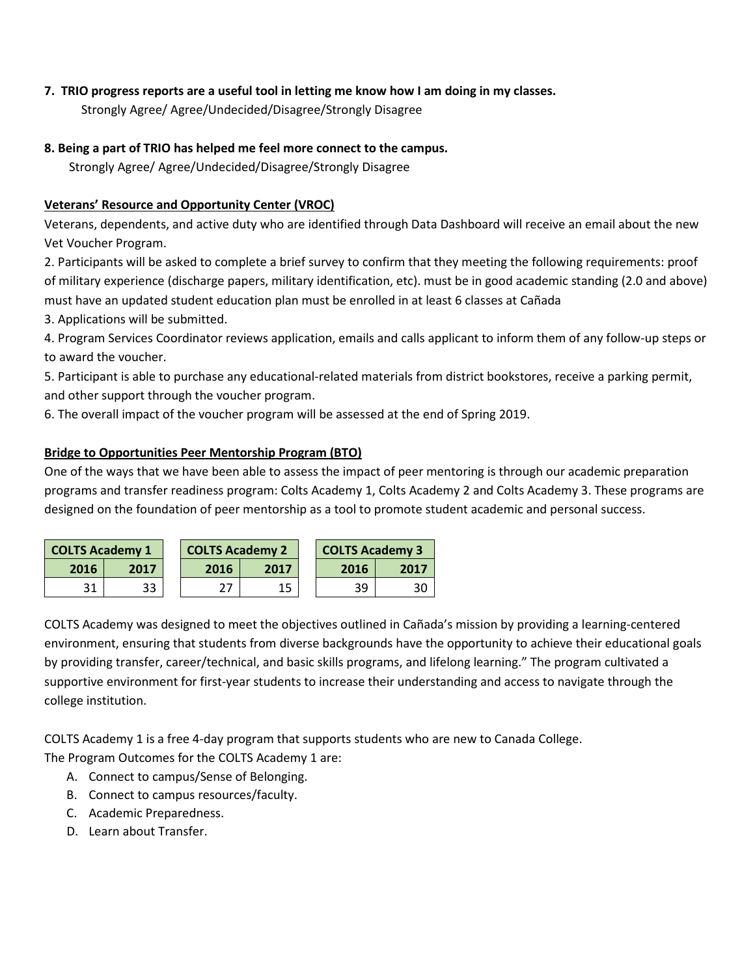# **7. TRIO progress reports are a useful tool in letting me know how I am doing in my classes.**

Strongly Agree/ Agree/Undecided/Disagree/Strongly Disagree

# **8. Being a part of TRIO has helped me feel more connect to the campus.**

Strongly Agree/ Agree/Undecided/Disagree/Strongly Disagree

# **Veterans' Resource and Opportunity Center (VROC)**

Veterans, dependents, and active duty who are identified through Data Dashboard will receive an email about the new Vet Voucher Program.

2. Participants will be asked to complete a brief survey to confirm that they meeting the following requirements: proof of military experience (discharge papers, military identification, etc). must be in good academic standing (2.0 and above) must have an updated student education plan must be enrolled in at least 6 classes at Cañada

3. Applications will be submitted.

4. Program Services Coordinator reviews application, emails and calls applicant to inform them of any follow-up steps or to award the voucher.

5. Participant is able to purchase any educational-related materials from district bookstores, receive a parking permit, and other support through the voucher program.

6. The overall impact of the voucher program will be assessed at the end of Spring 2019.

# **Bridge to Opportunities Peer Mentorship Program (BTO)**

One of the ways that we have been able to assess the impact of peer mentoring is through our academic preparation programs and transfer readiness program: Colts Academy 1, Colts Academy 2 and Colts Academy 3. These programs are designed on the foundation of peer mentorship as a tool to promote student academic and personal success.

| <b>COLTS Academy 1</b> |      |  | <b>COLTS Academy 3</b><br><b>COLTS Academy 2</b> |      |      |      |  |
|------------------------|------|--|--------------------------------------------------|------|------|------|--|
| 2016                   | 2017 |  | 2016                                             | 2017 | 2016 | 2017 |  |
|                        | 33   |  |                                                  | 15   | 39   | 30   |  |

COLTS Academy was designed to meet the objectives outlined in Cañada's mission by providing a learning-centered environment, ensuring that students from diverse backgrounds have the opportunity to achieve their educational goals by providing transfer, career/technical, and basic skills programs, and lifelong learning." The program cultivated a supportive environment for first-year students to increase their understanding and access to navigate through the college institution.

COLTS Academy 1 is a free 4-day program that supports students who are new to Canada College. The Program Outcomes for the COLTS Academy 1 are:

- A. Connect to campus/Sense of Belonging.
- B. Connect to campus resources/faculty.
- C. Academic Preparedness.
- D. Learn about Transfer.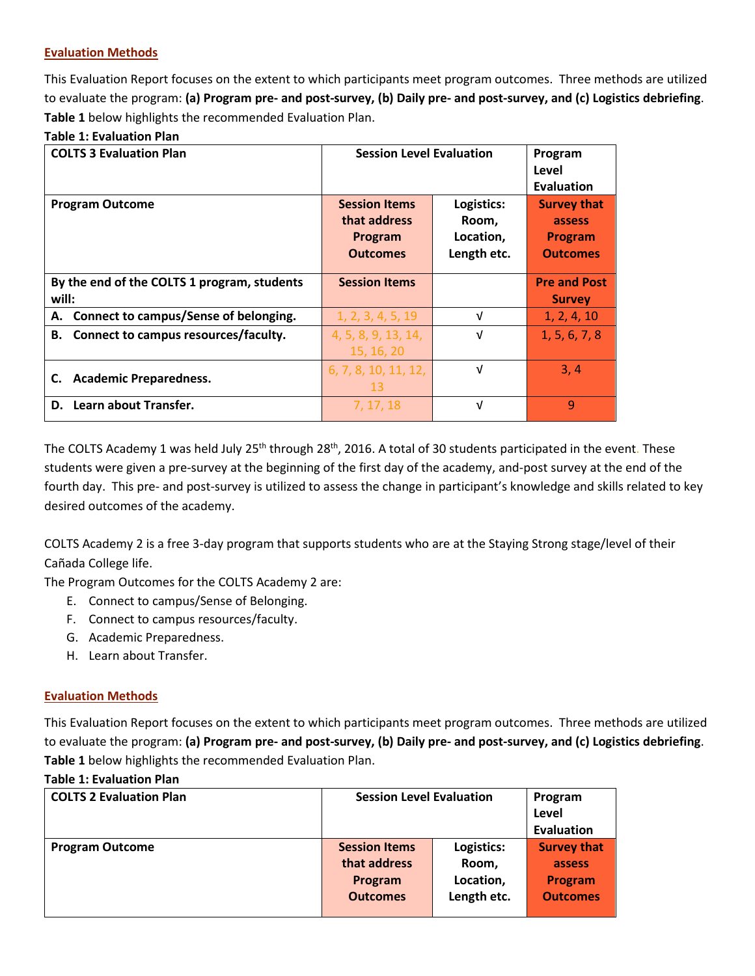### **Evaluation Methods**

This Evaluation Report focuses on the extent to which participants meet program outcomes. Three methods are utilized to evaluate the program: **(a) Program pre- and post-survey, (b) Daily pre- and post-survey, and (c) Logistics debriefing**. **Table 1** below highlights the recommended Evaluation Plan.

# **Table 1: Evaluation Plan**

| <b>COLTS 3 Evaluation Plan</b>              | <b>Session Level Evaluation</b> | Program<br>Level<br><b>Evaluation</b> |                     |
|---------------------------------------------|---------------------------------|---------------------------------------|---------------------|
| <b>Program Outcome</b>                      | <b>Session Items</b>            | Logistics:                            | <b>Survey that</b>  |
|                                             | that address                    | Room,                                 | assess              |
|                                             | Program                         | Location,                             | <b>Program</b>      |
|                                             | <b>Outcomes</b>                 | Length etc.                           | <b>Outcomes</b>     |
|                                             |                                 |                                       |                     |
| By the end of the COLTS 1 program, students | <b>Session Items</b>            |                                       | <b>Pre and Post</b> |
| will:                                       |                                 |                                       | <b>Survey</b>       |
| A. Connect to campus/Sense of belonging.    | 1, 2, 3, 4, 5, 19               | V                                     | 1, 2, 4, 10         |
| B. Connect to campus resources/faculty.     | 4, 5, 8, 9, 13, 14,             | V                                     | 1, 5, 6, 7, 8       |
|                                             | 15, 16, 20                      |                                       |                     |
|                                             | 6, 7, 8, 10, 11, 12,            | V                                     | 3, 4                |
| <b>Academic Preparedness.</b><br>C.         | 13                              |                                       |                     |
| D. Learn about Transfer.                    | 7, 17, 18                       | V                                     | 9                   |

The COLTS Academy 1 was held July 25<sup>th</sup> through 28<sup>th</sup>, 2016. A total of 30 students participated in the event. These students were given a pre-survey at the beginning of the first day of the academy, and-post survey at the end of the fourth day. This pre- and post-survey is utilized to assess the change in participant's knowledge and skills related to key desired outcomes of the academy.

COLTS Academy 2 is a free 3-day program that supports students who are at the Staying Strong stage/level of their Cañada College life.

The Program Outcomes for the COLTS Academy 2 are:

- E. Connect to campus/Sense of Belonging.
- F. Connect to campus resources/faculty.
- G. Academic Preparedness.
- H. Learn about Transfer.

#### **Evaluation Methods**

This Evaluation Report focuses on the extent to which participants meet program outcomes. Three methods are utilized to evaluate the program: **(a) Program pre- and post-survey, (b) Daily pre- and post-survey, and (c) Logistics debriefing**. **Table 1** below highlights the recommended Evaluation Plan.

#### **Table 1: Evaluation Plan**

| <b>COLTS 2 Evaluation Plan</b> | <b>Session Level Evaluation</b> |             | Program            |
|--------------------------------|---------------------------------|-------------|--------------------|
|                                |                                 |             | Level              |
|                                |                                 |             | <b>Evaluation</b>  |
| <b>Program Outcome</b>         | <b>Session Items</b>            | Logistics:  | <b>Survey that</b> |
|                                | that address                    | Room,       | assess             |
|                                | Program                         | Location,   | <b>Program</b>     |
|                                | <b>Outcomes</b>                 | Length etc. | <b>Outcomes</b>    |
|                                |                                 |             |                    |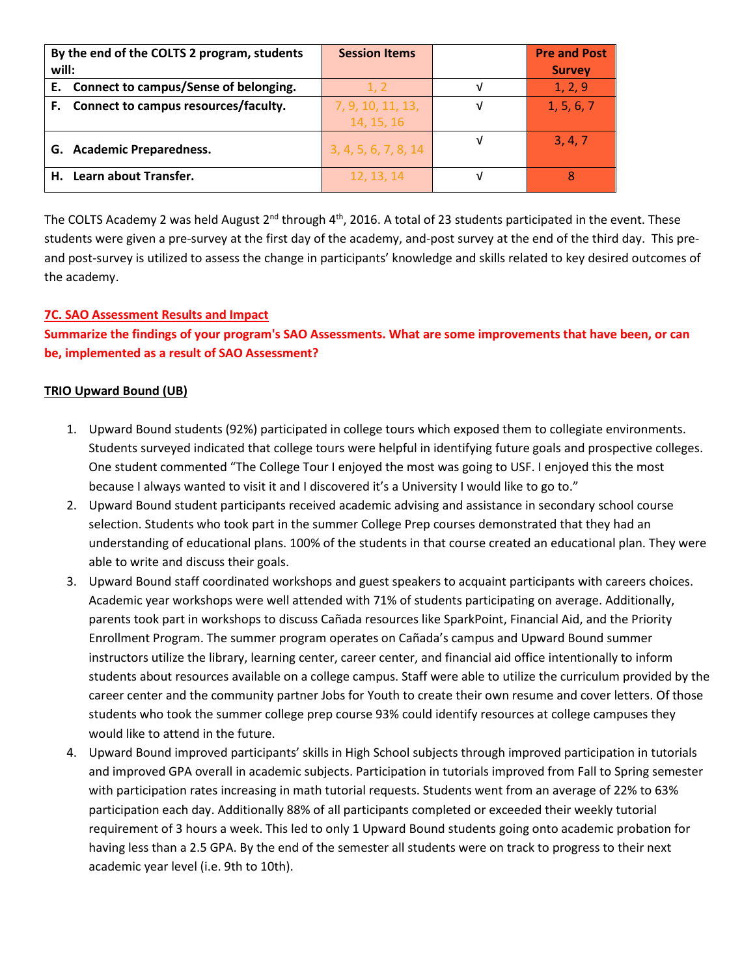| By the end of the COLTS 2 program, students | <b>Session Items</b> | <b>Pre and Post</b> |
|---------------------------------------------|----------------------|---------------------|
| will:                                       |                      | <b>Survey</b>       |
| E. Connect to campus/Sense of belonging.    | 1, 2                 | 1, 2, 9             |
| F. Connect to campus resources/faculty.     | 7, 9, 10, 11, 13,    | 1, 5, 6, 7          |
|                                             | 14, 15, 16           |                     |
| G. Academic Preparedness.                   | 3, 4, 5, 6, 7, 8, 14 | 3, 4, 7             |
| H. Learn about Transfer.                    | 12, 13, 14           |                     |

The COLTS Academy 2 was held August 2<sup>nd</sup> through 4<sup>th</sup>, 2016. A total of 23 students participated in the event. These students were given a pre-survey at the first day of the academy, and-post survey at the end of the third day. This preand post-survey is utilized to assess the change in participants' knowledge and skills related to key desired outcomes of the academy.

# **7C. SAO Assessment Results and Impact**

**Summarize the findings of your program's SAO Assessments. What are some improvements that have been, or can be, implemented as a result of SAO Assessment?**

#### **TRIO Upward Bound (UB)**

- 1. Upward Bound students (92%) participated in college tours which exposed them to collegiate environments. Students surveyed indicated that college tours were helpful in identifying future goals and prospective colleges. One student commented "The College Tour I enjoyed the most was going to USF. I enjoyed this the most because I always wanted to visit it and I discovered it's a University I would like to go to."
- 2. Upward Bound student participants received academic advising and assistance in secondary school course selection. Students who took part in the summer College Prep courses demonstrated that they had an understanding of educational plans. 100% of the students in that course created an educational plan. They were able to write and discuss their goals.
- 3. Upward Bound staff coordinated workshops and guest speakers to acquaint participants with careers choices. Academic year workshops were well attended with 71% of students participating on average. Additionally, parents took part in workshops to discuss Cañada resources like SparkPoint, Financial Aid, and the Priority Enrollment Program. The summer program operates on Cañada's campus and Upward Bound summer instructors utilize the library, learning center, career center, and financial aid office intentionally to inform students about resources available on a college campus. Staff were able to utilize the curriculum provided by the career center and the community partner Jobs for Youth to create their own resume and cover letters. Of those students who took the summer college prep course 93% could identify resources at college campuses they would like to attend in the future.
- 4. Upward Bound improved participants' skills in High School subjects through improved participation in tutorials and improved GPA overall in academic subjects. Participation in tutorials improved from Fall to Spring semester with participation rates increasing in math tutorial requests. Students went from an average of 22% to 63% participation each day. Additionally 88% of all participants completed or exceeded their weekly tutorial requirement of 3 hours a week. This led to only 1 Upward Bound students going onto academic probation for having less than a 2.5 GPA. By the end of the semester all students were on track to progress to their next academic year level (i.e. 9th to 10th).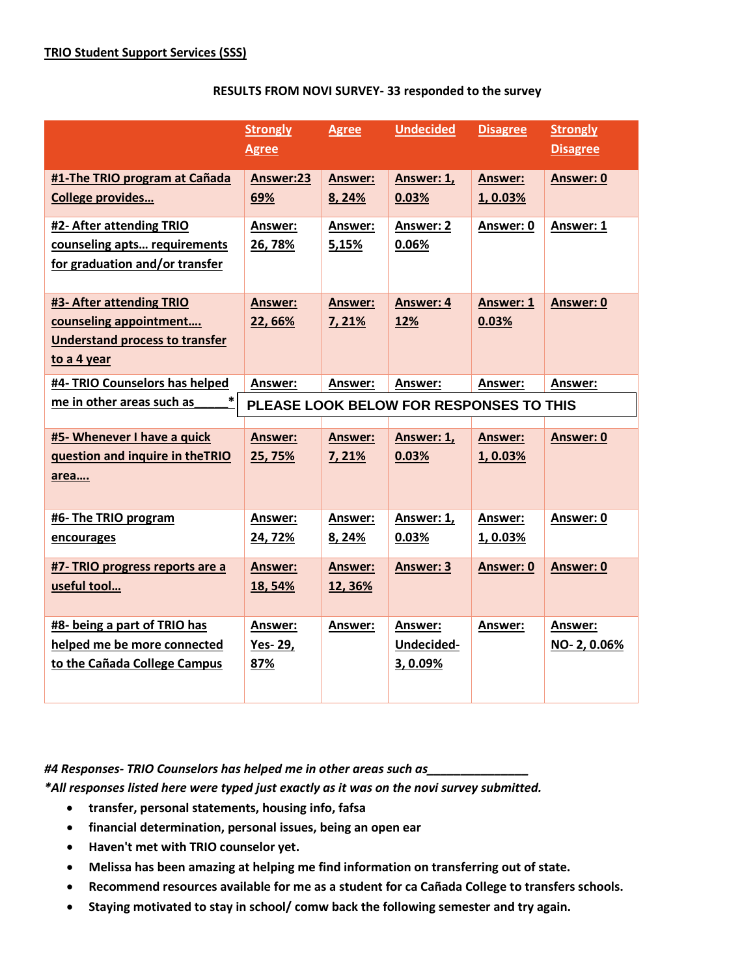|                                                                                                            | <b>Strongly</b><br><b>Agree</b>  | <b>Agree</b>              | <b>Undecided</b>                                          | <b>Disagree</b>            | <b>Strongly</b><br><b>Disagree</b> |
|------------------------------------------------------------------------------------------------------------|----------------------------------|---------------------------|-----------------------------------------------------------|----------------------------|------------------------------------|
| #1-The TRIO program at Cañada<br><b>College provides</b>                                                   | Answer:23<br>69%                 | <b>Answer:</b><br>8,24%   | Answer: 1,<br>0.03%                                       | <b>Answer:</b><br>1, 0.03% | Answer: 0                          |
| #2- After attending TRIO<br>counseling apts requirements<br>for graduation and/or transfer                 | Answer:<br>26,78%                | Answer:<br>5,15%          | Answer: 2<br>0.06%                                        | Answer: 0                  | Answer: 1                          |
| #3- After attending TRIO<br>counseling appointment<br><b>Understand process to transfer</b><br>to a 4 year | Answer:<br>22, 66%               | <b>Answer:</b><br>7,21%   | <b>Answer: 4</b><br>12%                                   | <b>Answer: 1</b><br>0.03%  | Answer: 0                          |
| #4- TRIO Counselors has helped<br>*<br>me in other areas such as                                           | Answer:                          | Answer:                   | Answer:<br><b>PLEASE LOOK BELOW FOR RESPONSES TO THIS</b> | Answer:                    | Answer:                            |
| #5- Whenever I have a quick<br>question and inquire in theTRIO<br>area                                     | <b>Answer:</b><br>25, 75%        | <b>Answer:</b><br>7,21%   | Answer: 1,<br>0.03%                                       | <b>Answer:</b><br>1,0.03%  | Answer: 0                          |
| #6- The TRIO program<br>encourages                                                                         | <b>Answer:</b><br>24, 72%        | Answer:<br>8, 24%         | Answer: 1,<br>0.03%                                       | Answer:<br>1,0.03%         | Answer: 0                          |
| #7- TRIO progress reports are a<br>useful tool                                                             | <b>Answer:</b><br>18,54%         | <b>Answer:</b><br>12, 36% | <b>Answer: 3</b>                                          | Answer: 0                  | Answer: 0                          |
| #8- being a part of TRIO has<br>helped me be more connected<br>to the Cañada College Campus                | <b>Answer:</b><br>Yes-29,<br>87% | Answer:                   | Answer:<br>Undecided-<br>3, 0.09%                         | Answer:                    | Answer:<br>NO-2, 0.06%             |

#### **RESULTS FROM NOVI SURVEY- 33 responded to the survey**

# *#4 Responses- TRIO Counselors has helped me in other areas such as\_\_\_\_\_\_\_\_\_\_\_\_\_\_\_*

*\*All responses listed here were typed just exactly as it was on the novi survey submitted.* 

- **transfer, personal statements, housing info, fafsa**
- **financial determination, personal issues, being an open ear**
- **Haven't met with TRIO counselor yet.**
- **Melissa has been amazing at helping me find information on transferring out of state.**
- **Recommend resources available for me as a student for ca Cañada College to transfers schools.**
- **Staying motivated to stay in school/ comw back the following semester and try again.**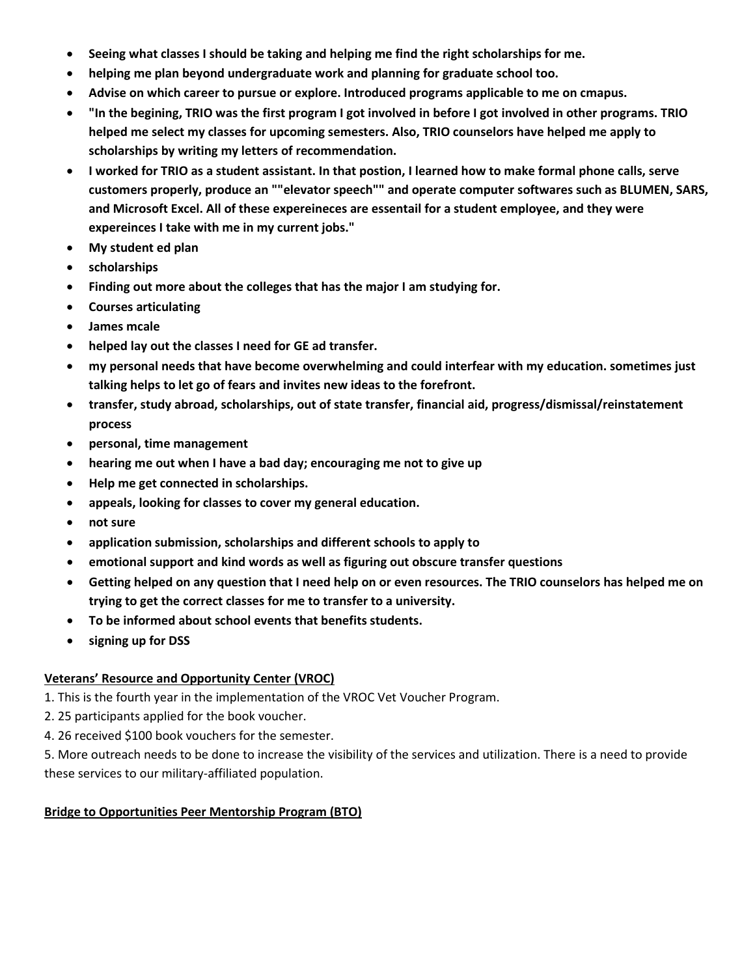- **Seeing what classes I should be taking and helping me find the right scholarships for me.**
- **helping me plan beyond undergraduate work and planning for graduate school too.**
- **Advise on which career to pursue or explore. Introduced programs applicable to me on cmapus.**
- **"In the begining, TRIO was the first program I got involved in before I got involved in other programs. TRIO helped me select my classes for upcoming semesters. Also, TRIO counselors have helped me apply to scholarships by writing my letters of recommendation.**
- **I worked for TRIO as a student assistant. In that postion, I learned how to make formal phone calls, serve customers properly, produce an ""elevator speech"" and operate computer softwares such as BLUMEN, SARS, and Microsoft Excel. All of these expereineces are essentail for a student employee, and they were expereinces I take with me in my current jobs."**
- **My student ed plan**
- **scholarships**
- **Finding out more about the colleges that has the major I am studying for.**
- **Courses articulating**
- **James mcale**
- **helped lay out the classes I need for GE ad transfer.**
- **my personal needs that have become overwhelming and could interfear with my education. sometimes just talking helps to let go of fears and invites new ideas to the forefront.**
- **transfer, study abroad, scholarships, out of state transfer, financial aid, progress/dismissal/reinstatement process**
- **personal, time management**
- **hearing me out when I have a bad day; encouraging me not to give up**
- **Help me get connected in scholarships.**
- **appeals, looking for classes to cover my general education.**
- **not sure**
- **application submission, scholarships and different schools to apply to**
- **emotional support and kind words as well as figuring out obscure transfer questions**
- **Getting helped on any question that I need help on or even resources. The TRIO counselors has helped me on trying to get the correct classes for me to transfer to a university.**
- **To be informed about school events that benefits students.**
- **signing up for DSS**

#### **Veterans' Resource and Opportunity Center (VROC)**

- 1. This is the fourth year in the implementation of the VROC Vet Voucher Program.
- 2. 25 participants applied for the book voucher.
- 4. 26 received \$100 book vouchers for the semester.

5. More outreach needs to be done to increase the visibility of the services and utilization. There is a need to provide these services to our military-affiliated population.

# **Bridge to Opportunities Peer Mentorship Program (BTO)**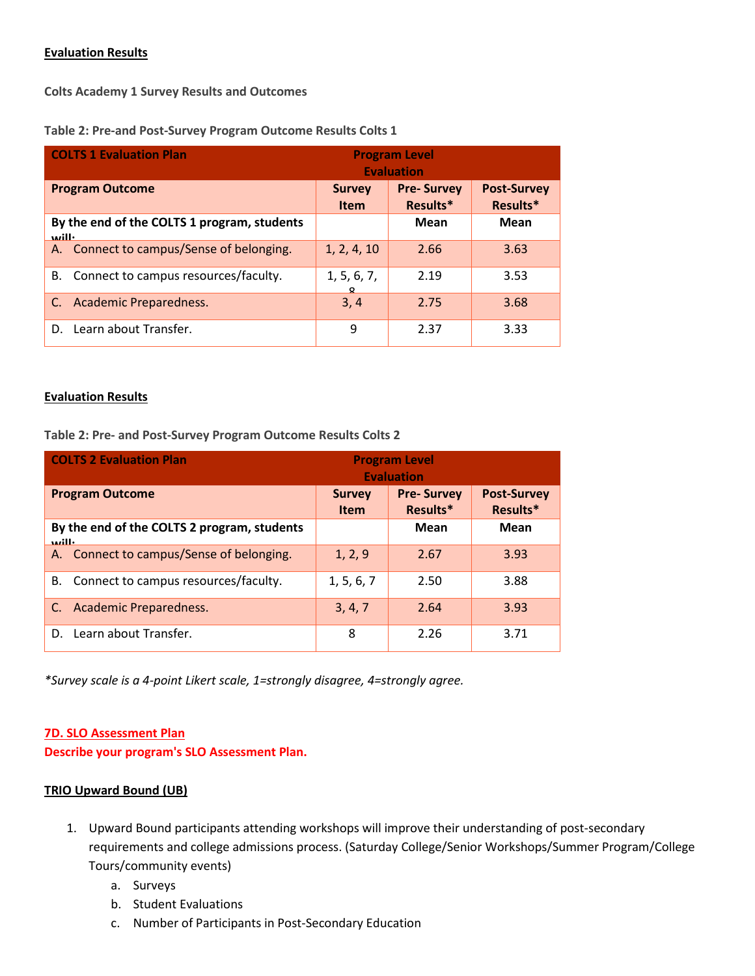#### **Evaluation Results**

**Colts Academy 1 Survey Results and Outcomes**

| <b>COLTS 1 Evaluation Plan</b> |                                             | <b>Program Level</b><br><b>Evaluation</b> |                               |                                |
|--------------------------------|---------------------------------------------|-------------------------------------------|-------------------------------|--------------------------------|
| <b>Program Outcome</b>         |                                             | <b>Survey</b><br><b>Item</b>              | <b>Pre-Survey</b><br>Results* | <b>Post-Survey</b><br>Results* |
| <b>Azill</b>                   | By the end of the COLTS 1 program, students |                                           | Mean                          | Mean                           |
|                                | A. Connect to campus/Sense of belonging.    | 1, 2, 4, 10                               | 2.66                          | 3.63                           |
|                                | B. Connect to campus resources/faculty.     | 1, 5, 6, 7,<br>Ω                          | 2.19                          | 3.53                           |
|                                | C. Academic Preparedness.                   | 3, 4                                      | 2.75                          | 3.68                           |
|                                | D. Learn about Transfer.                    | 9                                         | 2.37                          | 3.33                           |

#### **Evaluation Results**

**Table 2: Pre- and Post-Survey Program Outcome Results Colts 2**

|                                                                | <b>COLTS 2 Evaluation Plan</b>           | <b>Program Level</b><br><b>Evaluation</b> |                               |                                |
|----------------------------------------------------------------|------------------------------------------|-------------------------------------------|-------------------------------|--------------------------------|
| <b>Program Outcome</b>                                         |                                          | <b>Survey</b><br><b>Item</b>              | <b>Pre-Survey</b><br>Results* | <b>Post-Survey</b><br>Results* |
| By the end of the COLTS 2 program, students<br>$n$ ill $\cdot$ |                                          |                                           | <b>Mean</b>                   | Mean                           |
|                                                                | A. Connect to campus/Sense of belonging. | 1, 2, 9                                   | 2.67                          | 3.93                           |
| В.                                                             | Connect to campus resources/faculty.     | 1, 5, 6, 7                                | 2.50                          | 3.88                           |
| C.                                                             | <b>Academic Preparedness.</b>            | 3, 4, 7                                   | 2.64                          | 3.93                           |
| D.                                                             | Learn about Transfer.                    | 8                                         | 2.26                          | 3.71                           |

*\*Survey scale is a 4-point Likert scale, 1=strongly disagree, 4=strongly agree.*

#### **7D. SLO Assessment Plan**

**Describe your program's SLO Assessment Plan.**

#### **TRIO Upward Bound (UB)**

- 1. Upward Bound participants attending workshops will improve their understanding of post-secondary requirements and college admissions process. (Saturday College/Senior Workshops/Summer Program/College Tours/community events)
	- a. Surveys
	- b. Student Evaluations
	- c. Number of Participants in Post-Secondary Education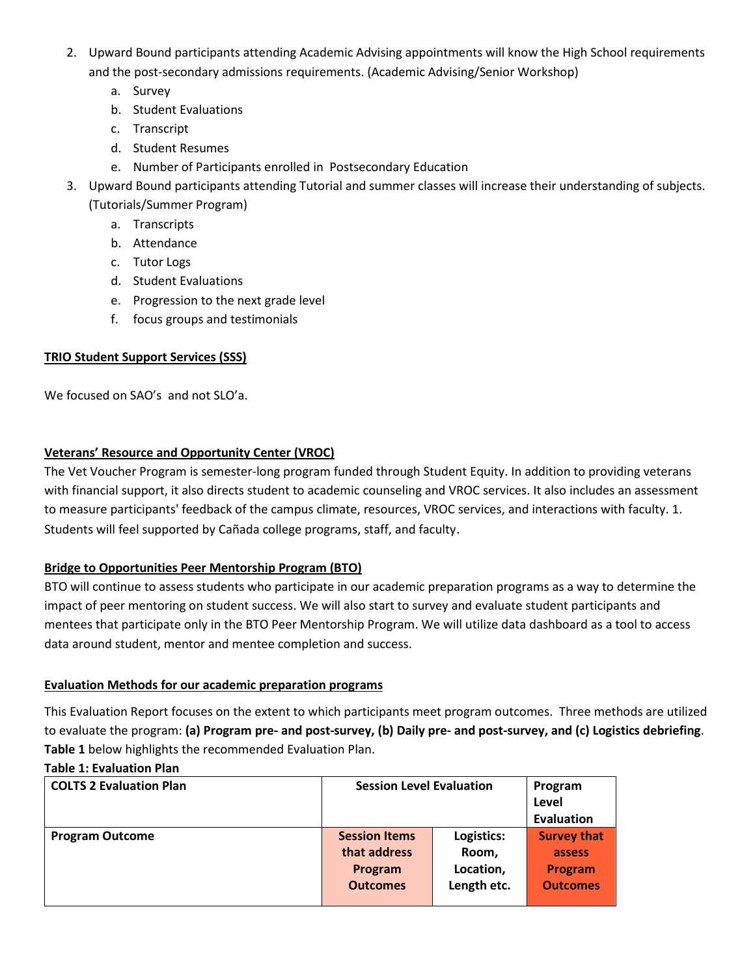- 2. Upward Bound participants attending Academic Advising appointments will know the High School requirements and the post-secondary admissions requirements. (Academic Advising/Senior Workshop)
	- a. Survey
	- b. Student Evaluations
	- c. Transcript
	- d. Student Resumes
	- e. Number of Participants enrolled in Postsecondary Education
- 3. Upward Bound participants attending Tutorial and summer classes will increase their understanding of subjects. (Tutorials/Summer Program)
	- a. Transcripts
	- b. Attendance
	- c. Tutor Logs
	- d. Student Evaluations
	- e. Progression to the next grade level
	- f. focus groups and testimonials

# **TRIO Student Support Services (SSS)**

We focused on SAO's and not SLO'a.

# **Veterans' Resource and Opportunity Center (VROC)**

The Vet Voucher Program is semester-long program funded through Student Equity. In addition to providing veterans with financial support, it also directs student to academic counseling and VROC services. It also includes an assessment to measure participants' feedback of the campus climate, resources, VROC services, and interactions with faculty. 1. Students will feel supported by Cañada college programs, staff, and faculty.

# **Bridge to Opportunities Peer Mentorship Program (BTO)**

BTO will continue to assess students who participate in our academic preparation programs as a way to determine the impact of peer mentoring on student success. We will also start to survey and evaluate student participants and mentees that participate only in the BTO Peer Mentorship Program. We will utilize data dashboard as a tool to access data around student, mentor and mentee completion and success.

# **Evaluation Methods for our academic preparation programs**

This Evaluation Report focuses on the extent to which participants meet program outcomes. Three methods are utilized to evaluate the program: **(a) Program pre- and post-survey, (b) Daily pre- and post-survey, and (c) Logistics debriefing**. **Table 1** below highlights the recommended Evaluation Plan.

# **Table 1: Evaluation Plan**

| <b>COLTS 2 Evaluation Plan</b> | <b>Session Level Evaluation</b> |             | Program            |
|--------------------------------|---------------------------------|-------------|--------------------|
|                                |                                 |             | Level              |
|                                |                                 | Evaluation  |                    |
| <b>Program Outcome</b>         | <b>Session Items</b>            | Logistics:  | <b>Survey that</b> |
|                                | that address                    | Room,       | assess             |
|                                | Program                         | Location,   | Program            |
|                                | <b>Outcomes</b>                 | Length etc. | <b>Outcomes</b>    |
|                                |                                 |             |                    |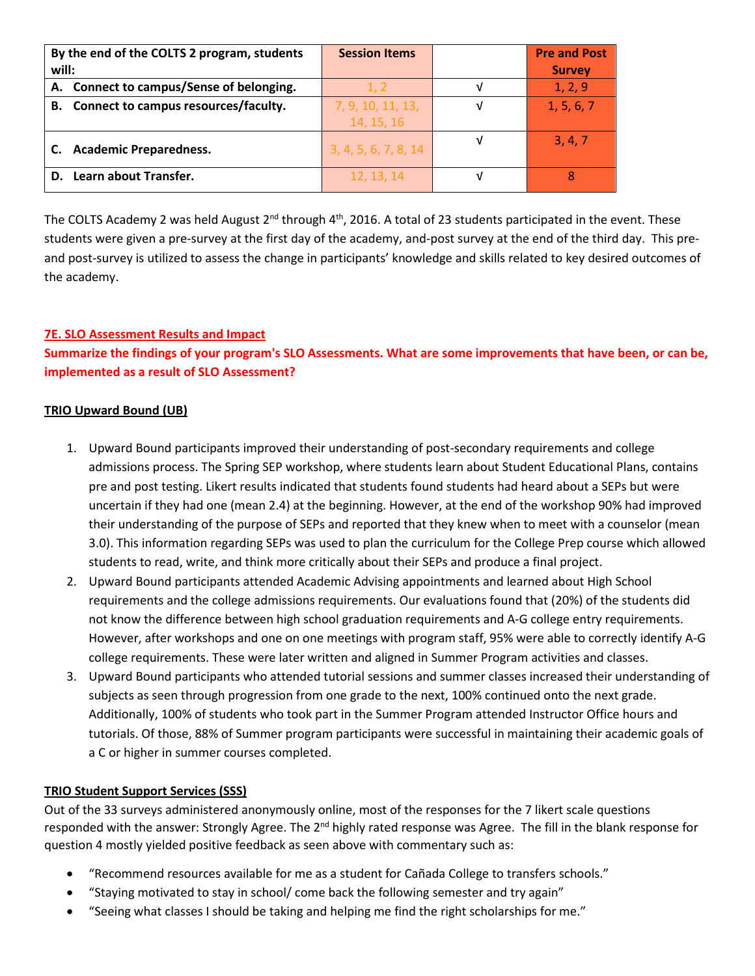| By the end of the COLTS 2 program, students | <b>Session Items</b> | <b>Pre and Post</b> |
|---------------------------------------------|----------------------|---------------------|
| will:                                       |                      | <b>Survey</b>       |
| A. Connect to campus/Sense of belonging.    | 1. 2                 | 1, 2, 9             |
| B. Connect to campus resources/faculty.     | 7, 9, 10, 11, 13,    | 1, 5, 6, 7          |
|                                             | 14, 15, 16           |                     |
| <b>Academic Preparedness.</b>               | 3, 4, 5, 6, 7, 8, 14 | 3, 4, 7             |
| D. Learn about Transfer.                    | 12, 13, 14           |                     |

The COLTS Academy 2 was held August 2<sup>nd</sup> through 4<sup>th</sup>, 2016. A total of 23 students participated in the event. These students were given a pre-survey at the first day of the academy, and-post survey at the end of the third day. This preand post-survey is utilized to assess the change in participants' knowledge and skills related to key desired outcomes of the academy.

# **7E. SLO Assessment Results and Impact**

**Summarize the findings of your program's SLO Assessments. What are some improvements that have been, or can be, implemented as a result of SLO Assessment?**

#### **TRIO Upward Bound (UB)**

- 1. Upward Bound participants improved their understanding of post-secondary requirements and college admissions process. The Spring SEP workshop, where students learn about Student Educational Plans, contains pre and post testing. Likert results indicated that students found students had heard about a SEPs but were uncertain if they had one (mean 2.4) at the beginning. However, at the end of the workshop 90% had improved their understanding of the purpose of SEPs and reported that they knew when to meet with a counselor (mean 3.0). This information regarding SEPs was used to plan the curriculum for the College Prep course which allowed students to read, write, and think more critically about their SEPs and produce a final project.
- 2. Upward Bound participants attended Academic Advising appointments and learned about High School requirements and the college admissions requirements. Our evaluations found that (20%) of the students did not know the difference between high school graduation requirements and A-G college entry requirements. However, after workshops and one on one meetings with program staff, 95% were able to correctly identify A-G college requirements. These were later written and aligned in Summer Program activities and classes.
- 3. Upward Bound participants who attended tutorial sessions and summer classes increased their understanding of subjects as seen through progression from one grade to the next, 100% continued onto the next grade. Additionally, 100% of students who took part in the Summer Program attended Instructor Office hours and tutorials. Of those, 88% of Summer program participants were successful in maintaining their academic goals of a C or higher in summer courses completed.

# **TRIO Student Support Services (SSS)**

Out of the 33 surveys administered anonymously online, most of the responses for the 7 likert scale questions responded with the answer: Strongly Agree. The 2<sup>nd</sup> highly rated response was Agree. The fill in the blank response for question 4 mostly yielded positive feedback as seen above with commentary such as:

- "Recommend resources available for me as a student for Cañada College to transfers schools."
- "Staying motivated to stay in school/ come back the following semester and try again"
- "Seeing what classes I should be taking and helping me find the right scholarships for me."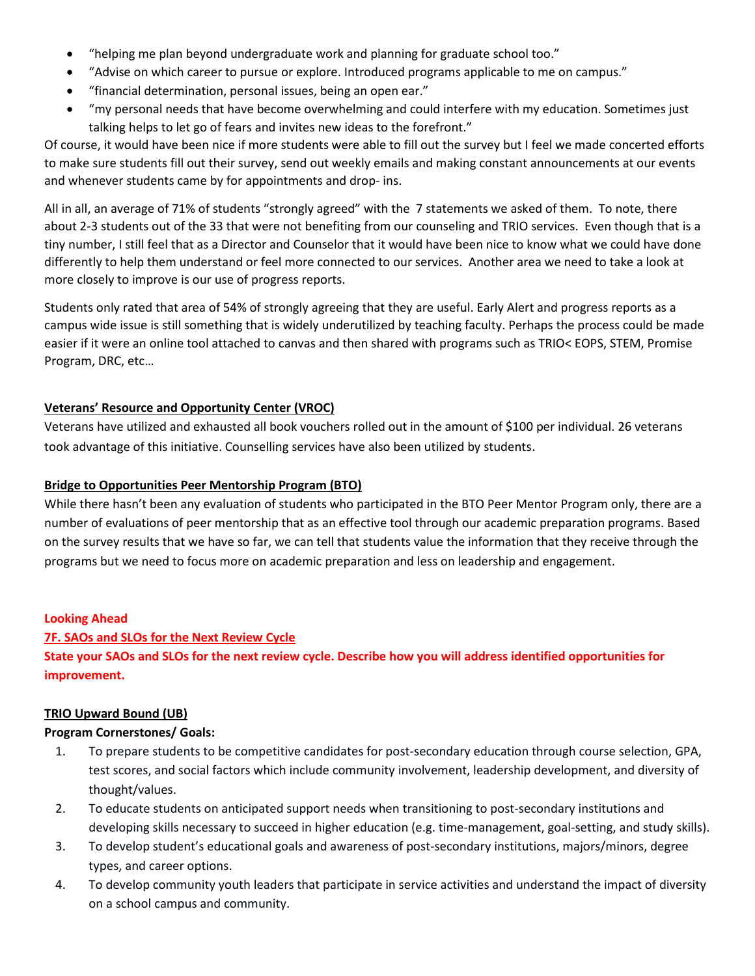- "helping me plan beyond undergraduate work and planning for graduate school too."
- "Advise on which career to pursue or explore. Introduced programs applicable to me on campus."
- "financial determination, personal issues, being an open ear."
- "my personal needs that have become overwhelming and could interfere with my education. Sometimes just talking helps to let go of fears and invites new ideas to the forefront."

Of course, it would have been nice if more students were able to fill out the survey but I feel we made concerted efforts to make sure students fill out their survey, send out weekly emails and making constant announcements at our events and whenever students came by for appointments and drop- ins.

All in all, an average of 71% of students "strongly agreed" with the 7 statements we asked of them. To note, there about 2-3 students out of the 33 that were not benefiting from our counseling and TRIO services. Even though that is a tiny number, I still feel that as a Director and Counselor that it would have been nice to know what we could have done differently to help them understand or feel more connected to our services. Another area we need to take a look at more closely to improve is our use of progress reports.

Students only rated that area of 54% of strongly agreeing that they are useful. Early Alert and progress reports as a campus wide issue is still something that is widely underutilized by teaching faculty. Perhaps the process could be made easier if it were an online tool attached to canvas and then shared with programs such as TRIO< EOPS, STEM, Promise Program, DRC, etc…

#### **Veterans' Resource and Opportunity Center (VROC)**

Veterans have utilized and exhausted all book vouchers rolled out in the amount of \$100 per individual. 26 veterans took advantage of this initiative. Counselling services have also been utilized by students.

### **Bridge to Opportunities Peer Mentorship Program (BTO)**

While there hasn't been any evaluation of students who participated in the BTO Peer Mentor Program only, there are a number of evaluations of peer mentorship that as an effective tool through our academic preparation programs. Based on the survey results that we have so far, we can tell that students value the information that they receive through the programs but we need to focus more on academic preparation and less on leadership and engagement.

#### **Looking Ahead**

#### **7F. SAOs and SLOs for the Next Review Cycle**

**State your SAOs and SLOs for the next review cycle. Describe how you will address identified opportunities for improvement.** 

#### **TRIO Upward Bound (UB)**

#### **Program Cornerstones/ Goals:**

- 1. To prepare students to be competitive candidates for post-secondary education through course selection, GPA, test scores, and social factors which include community involvement, leadership development, and diversity of thought/values.
- 2. To educate students on anticipated support needs when transitioning to post-secondary institutions and developing skills necessary to succeed in higher education (e.g. time-management, goal-setting, and study skills).
- 3. To develop student's educational goals and awareness of post-secondary institutions, majors/minors, degree types, and career options.
- 4. To develop community youth leaders that participate in service activities and understand the impact of diversity on a school campus and community.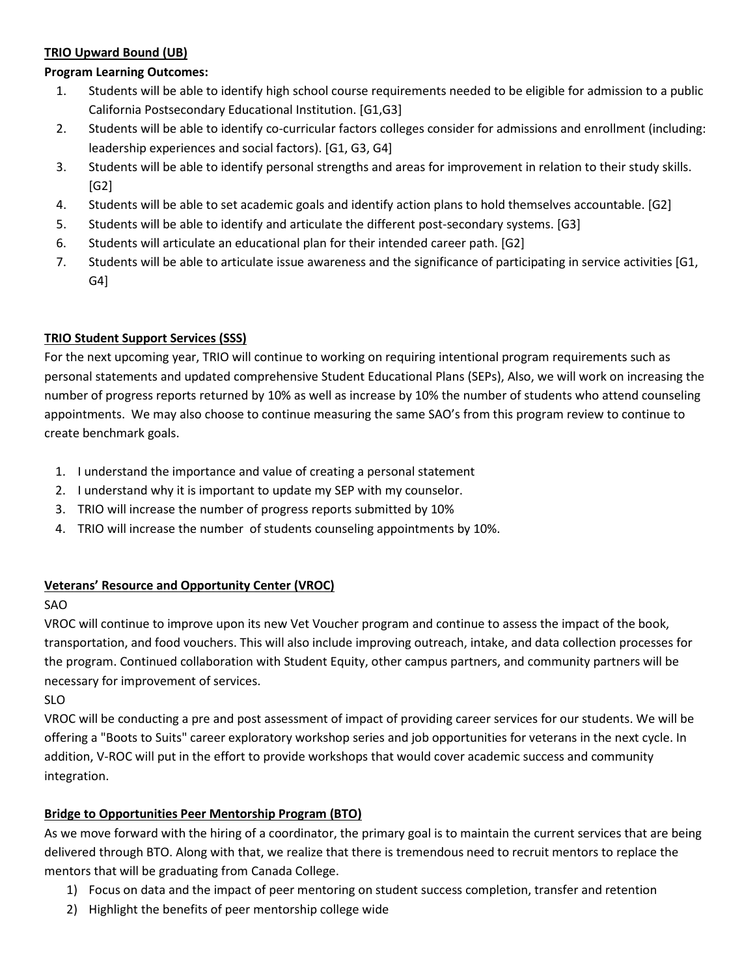### **TRIO Upward Bound (UB)**

### **Program Learning Outcomes:**

- 1. Students will be able to identify high school course requirements needed to be eligible for admission to a public California Postsecondary Educational Institution. [G1,G3]
- 2. Students will be able to identify co-curricular factors colleges consider for admissions and enrollment (including: leadership experiences and social factors). [G1, G3, G4]
- 3. Students will be able to identify personal strengths and areas for improvement in relation to their study skills. [G2]
- 4. Students will be able to set academic goals and identify action plans to hold themselves accountable. [G2]
- 5. Students will be able to identify and articulate the different post-secondary systems. [G3]
- 6. Students will articulate an educational plan for their intended career path. [G2]
- 7. Students will be able to articulate issue awareness and the significance of participating in service activities [G1, G4]

# **TRIO Student Support Services (SSS)**

For the next upcoming year, TRIO will continue to working on requiring intentional program requirements such as personal statements and updated comprehensive Student Educational Plans (SEPs), Also, we will work on increasing the number of progress reports returned by 10% as well as increase by 10% the number of students who attend counseling appointments. We may also choose to continue measuring the same SAO's from this program review to continue to create benchmark goals.

- 1. I understand the importance and value of creating a personal statement
- 2. I understand why it is important to update my SEP with my counselor.
- 3. TRIO will increase the number of progress reports submitted by 10%
- 4. TRIO will increase the number of students counseling appointments by 10%.

# **Veterans' Resource and Opportunity Center (VROC)**

#### SAO

VROC will continue to improve upon its new Vet Voucher program and continue to assess the impact of the book, transportation, and food vouchers. This will also include improving outreach, intake, and data collection processes for the program. Continued collaboration with Student Equity, other campus partners, and community partners will be necessary for improvement of services.

SLO

VROC will be conducting a pre and post assessment of impact of providing career services for our students. We will be offering a "Boots to Suits" career exploratory workshop series and job opportunities for veterans in the next cycle. In addition, V-ROC will put in the effort to provide workshops that would cover academic success and community integration.

# **Bridge to Opportunities Peer Mentorship Program (BTO)**

As we move forward with the hiring of a coordinator, the primary goal is to maintain the current services that are being delivered through BTO. Along with that, we realize that there is tremendous need to recruit mentors to replace the mentors that will be graduating from Canada College.

- 1) Focus on data and the impact of peer mentoring on student success completion, transfer and retention
- 2) Highlight the benefits of peer mentorship college wide